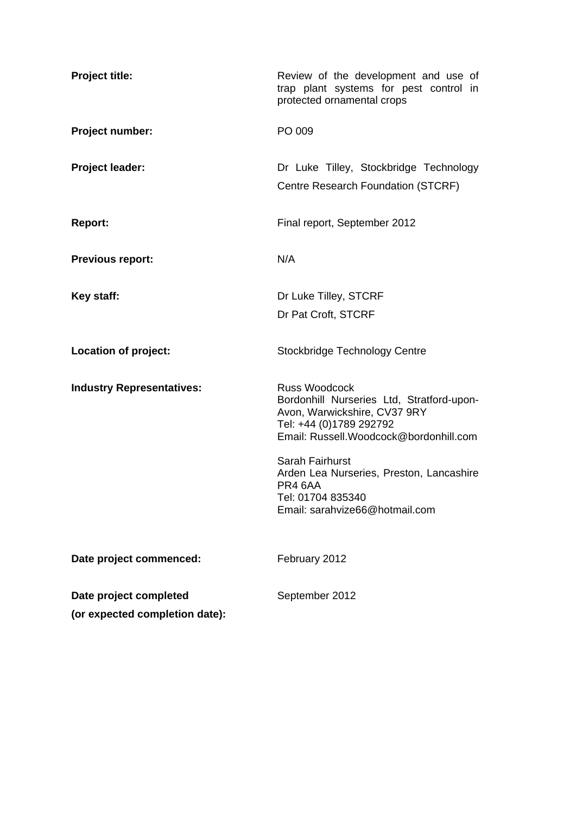| <b>Project title:</b>            | Review of the development and use of<br>trap plant systems for pest control in<br>protected ornamental crops                                                            |  |  |
|----------------------------------|-------------------------------------------------------------------------------------------------------------------------------------------------------------------------|--|--|
| Project number:                  | PO 009                                                                                                                                                                  |  |  |
| <b>Project leader:</b>           | Dr Luke Tilley, Stockbridge Technology<br>Centre Research Foundation (STCRF)                                                                                            |  |  |
| <b>Report:</b>                   | Final report, September 2012                                                                                                                                            |  |  |
| <b>Previous report:</b>          | N/A                                                                                                                                                                     |  |  |
| Key staff:                       | Dr Luke Tilley, STCRF                                                                                                                                                   |  |  |
|                                  | Dr Pat Croft, STCRF                                                                                                                                                     |  |  |
| Location of project:             | Stockbridge Technology Centre                                                                                                                                           |  |  |
| <b>Industry Representatives:</b> | <b>Russ Woodcock</b><br>Bordonhill Nurseries Ltd, Stratford-upon-<br>Avon, Warwickshire, CV37 9RY<br>Tel: +44 (0)1789 292792<br>Email: Russell. Woodcock@bordonhill.com |  |  |
|                                  | Sarah Fairhurst<br>Arden Lea Nurseries, Preston, Lancashire<br>PR4 6AA<br>Tel: 01704 835340<br>Email: sarahvize66@hotmail.com                                           |  |  |
| Date project commenced:          | February 2012                                                                                                                                                           |  |  |
| Date project completed           | September 2012                                                                                                                                                          |  |  |
| (or expected completion date):   |                                                                                                                                                                         |  |  |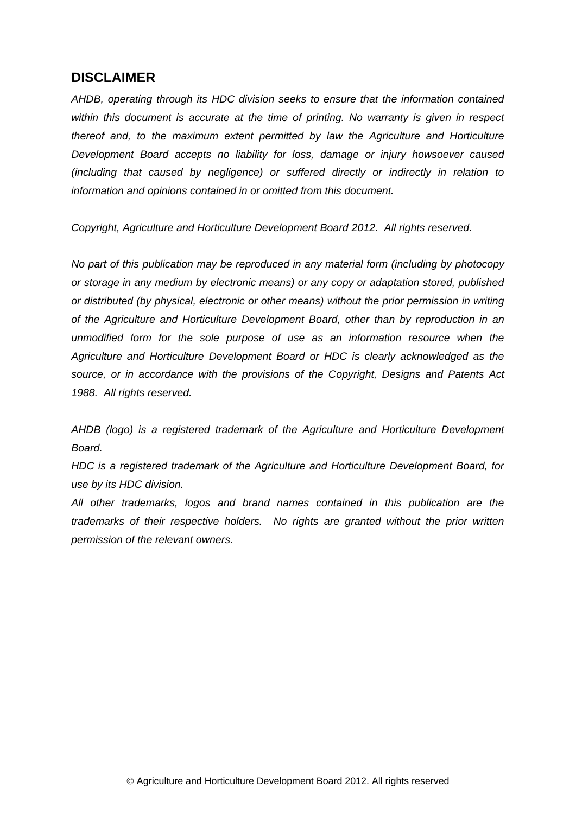# **DISCLAIMER**

*AHDB, operating through its HDC division seeks to ensure that the information contained within this document is accurate at the time of printing. No warranty is given in respect thereof and, to the maximum extent permitted by law the Agriculture and Horticulture Development Board accepts no liability for loss, damage or injury howsoever caused (including that caused by negligence) or suffered directly or indirectly in relation to information and opinions contained in or omitted from this document.* 

*Copyright, Agriculture and Horticulture Development Board 2012. All rights reserved.*

*No part of this publication may be reproduced in any material form (including by photocopy or storage in any medium by electronic means) or any copy or adaptation stored, published or distributed (by physical, electronic or other means) without the prior permission in writing of the Agriculture and Horticulture Development Board, other than by reproduction in an unmodified form for the sole purpose of use as an information resource when the Agriculture and Horticulture Development Board or HDC is clearly acknowledged as the source, or in accordance with the provisions of the Copyright, Designs and Patents Act 1988. All rights reserved.* 

*AHDB (logo) is a registered trademark of the Agriculture and Horticulture Development Board.*

*HDC is a registered trademark of the Agriculture and Horticulture Development Board, for use by its HDC division.*

*All other trademarks, logos and brand names contained in this publication are the trademarks of their respective holders. No rights are granted without the prior written permission of the relevant owners.*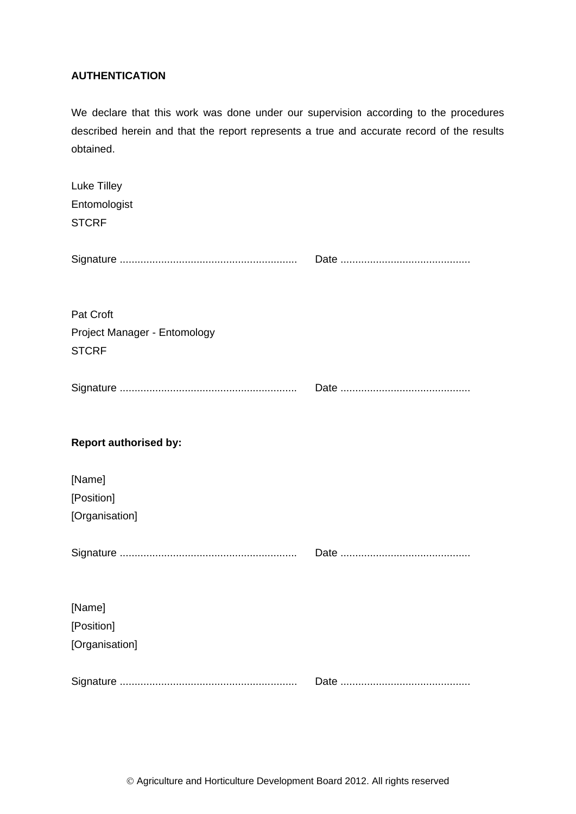### **AUTHENTICATION**

We declare that this work was done under our supervision according to the procedures described herein and that the report represents a true and accurate record of the results obtained.

| Luke Tilley<br>Entomologist<br><b>STCRF</b>               |  |
|-----------------------------------------------------------|--|
|                                                           |  |
| Pat Croft<br>Project Manager - Entomology<br><b>STCRF</b> |  |
|                                                           |  |
| <b>Report authorised by:</b>                              |  |
| [Name]                                                    |  |
| [Position]                                                |  |
| [Organisation]                                            |  |
|                                                           |  |
| [Name]                                                    |  |
| [Position]                                                |  |
| [Organisation]                                            |  |
|                                                           |  |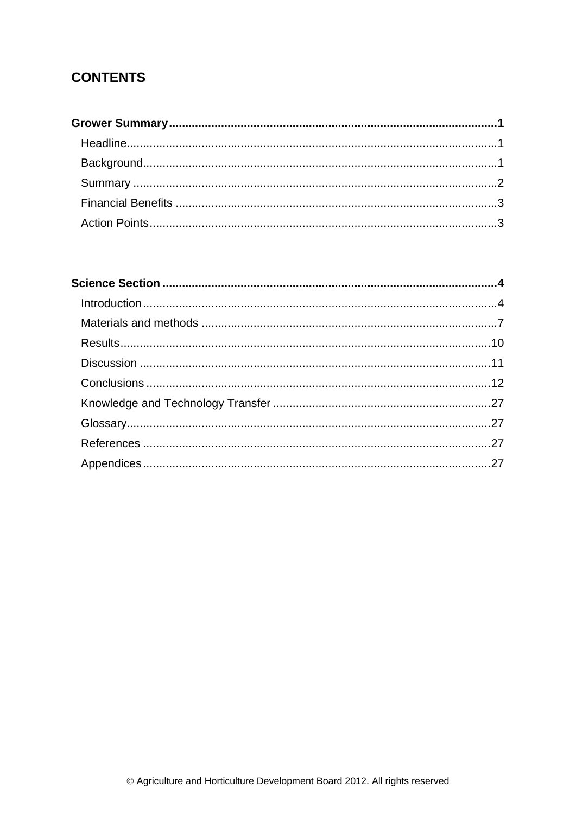# **CONTENTS**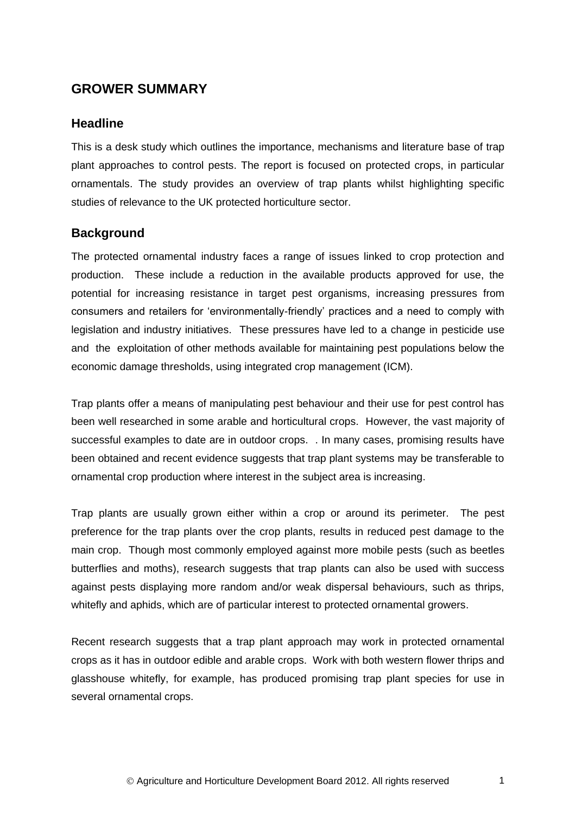# <span id="page-4-0"></span>**GROWER SUMMARY**

## <span id="page-4-1"></span>**Headline**

This is a desk study which outlines the importance, mechanisms and literature base of trap plant approaches to control pests. The report is focused on protected crops, in particular ornamentals. The study provides an overview of trap plants whilst highlighting specific studies of relevance to the UK protected horticulture sector.

# <span id="page-4-2"></span>**Background**

The protected ornamental industry faces a range of issues linked to crop protection and production. These include a reduction in the available products approved for use, the potential for increasing resistance in target pest organisms, increasing pressures from consumers and retailers for 'environmentally-friendly' practices and a need to comply with legislation and industry initiatives. These pressures have led to a change in pesticide use and the exploitation of other methods available for maintaining pest populations below the economic damage thresholds, using integrated crop management (ICM).

Trap plants offer a means of manipulating pest behaviour and their use for pest control has been well researched in some arable and horticultural crops. However, the vast majority of successful examples to date are in outdoor crops. . In many cases, promising results have been obtained and recent evidence suggests that trap plant systems may be transferable to ornamental crop production where interest in the subject area is increasing.

Trap plants are usually grown either within a crop or around its perimeter. The pest preference for the trap plants over the crop plants, results in reduced pest damage to the main crop. Though most commonly employed against more mobile pests (such as beetles butterflies and moths), research suggests that trap plants can also be used with success against pests displaying more random and/or weak dispersal behaviours, such as thrips, whitefly and aphids, which are of particular interest to protected ornamental growers.

Recent research suggests that a trap plant approach may work in protected ornamental crops as it has in outdoor edible and arable crops. Work with both western flower thrips and glasshouse whitefly, for example, has produced promising trap plant species for use in several ornamental crops.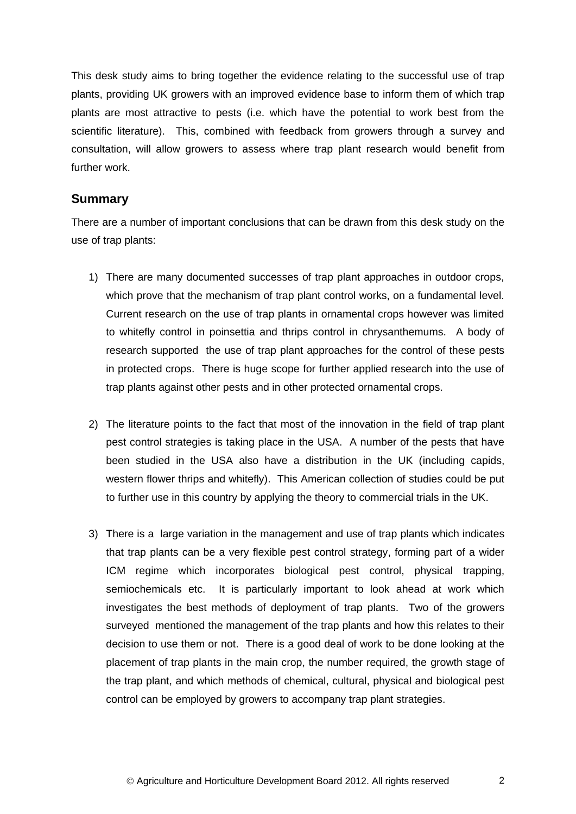This desk study aims to bring together the evidence relating to the successful use of trap plants, providing UK growers with an improved evidence base to inform them of which trap plants are most attractive to pests (i.e. which have the potential to work best from the scientific literature). This, combined with feedback from growers through a survey and consultation, will allow growers to assess where trap plant research would benefit from further work.

# <span id="page-5-0"></span>**Summary**

There are a number of important conclusions that can be drawn from this desk study on the use of trap plants:

- 1) There are many documented successes of trap plant approaches in outdoor crops, which prove that the mechanism of trap plant control works, on a fundamental level. Current research on the use of trap plants in ornamental crops however was limited to whitefly control in poinsettia and thrips control in chrysanthemums. A body of research supported the use of trap plant approaches for the control of these pests in protected crops. There is huge scope for further applied research into the use of trap plants against other pests and in other protected ornamental crops.
- 2) The literature points to the fact that most of the innovation in the field of trap plant pest control strategies is taking place in the USA. A number of the pests that have been studied in the USA also have a distribution in the UK (including capids, western flower thrips and whitefly). This American collection of studies could be put to further use in this country by applying the theory to commercial trials in the UK.
- 3) There is a large variation in the management and use of trap plants which indicates that trap plants can be a very flexible pest control strategy, forming part of a wider ICM regime which incorporates biological pest control, physical trapping, semiochemicals etc. It is particularly important to look ahead at work which investigates the best methods of deployment of trap plants. Two of the growers surveyed mentioned the management of the trap plants and how this relates to their decision to use them or not. There is a good deal of work to be done looking at the placement of trap plants in the main crop, the number required, the growth stage of the trap plant, and which methods of chemical, cultural, physical and biological pest control can be employed by growers to accompany trap plant strategies.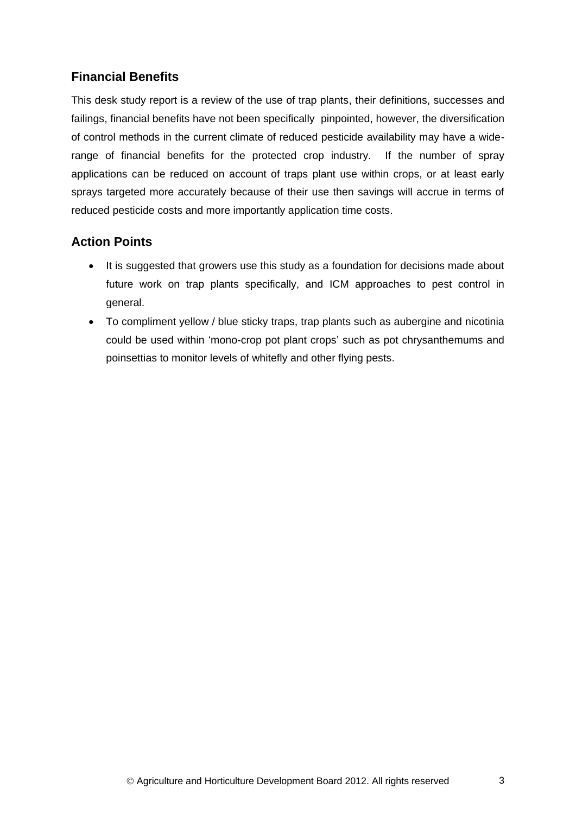# <span id="page-6-0"></span>**Financial Benefits**

This desk study report is a review of the use of trap plants, their definitions, successes and failings, financial benefits have not been specifically pinpointed, however, the diversification of control methods in the current climate of reduced pesticide availability may have a widerange of financial benefits for the protected crop industry. If the number of spray applications can be reduced on account of traps plant use within crops, or at least early sprays targeted more accurately because of their use then savings will accrue in terms of reduced pesticide costs and more importantly application time costs.

# <span id="page-6-1"></span>**Action Points**

- It is suggested that growers use this study as a foundation for decisions made about future work on trap plants specifically, and ICM approaches to pest control in general.
- To compliment yellow / blue sticky traps, trap plants such as aubergine and nicotinia could be used within 'mono-crop pot plant crops' such as pot chrysanthemums and poinsettias to monitor levels of whitefly and other flying pests.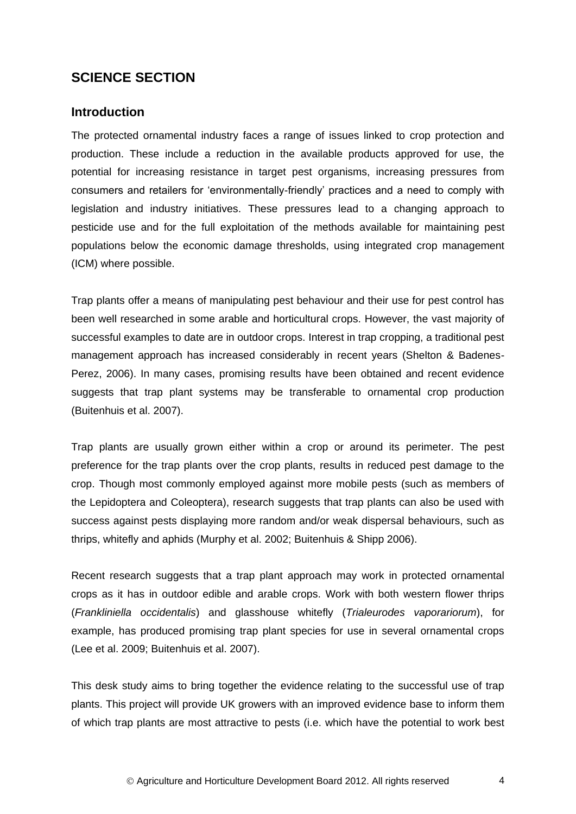# <span id="page-7-0"></span>**SCIENCE SECTION**

### <span id="page-7-1"></span>**Introduction**

The protected ornamental industry faces a range of issues linked to crop protection and production. These include a reduction in the available products approved for use, the potential for increasing resistance in target pest organisms, increasing pressures from consumers and retailers for 'environmentally-friendly' practices and a need to comply with legislation and industry initiatives. These pressures lead to a changing approach to pesticide use and for the full exploitation of the methods available for maintaining pest populations below the economic damage thresholds, using integrated crop management (ICM) where possible.

Trap plants offer a means of manipulating pest behaviour and their use for pest control has been well researched in some arable and horticultural crops. However, the vast majority of successful examples to date are in outdoor crops. Interest in trap cropping, a traditional pest management approach has increased considerably in recent years (Shelton & Badenes-Perez, 2006). In many cases, promising results have been obtained and recent evidence suggests that trap plant systems may be transferable to ornamental crop production (Buitenhuis et al. 2007).

Trap plants are usually grown either within a crop or around its perimeter. The pest preference for the trap plants over the crop plants, results in reduced pest damage to the crop. Though most commonly employed against more mobile pests (such as members of the Lepidoptera and Coleoptera), research suggests that trap plants can also be used with success against pests displaying more random and/or weak dispersal behaviours, such as thrips, whitefly and aphids (Murphy et al. 2002; Buitenhuis & Shipp 2006).

Recent research suggests that a trap plant approach may work in protected ornamental crops as it has in outdoor edible and arable crops. Work with both western flower thrips (*Frankliniella occidentalis*) and glasshouse whitefly (*Trialeurodes vaporariorum*), for example, has produced promising trap plant species for use in several ornamental crops (Lee et al. 2009; Buitenhuis et al. 2007).

This desk study aims to bring together the evidence relating to the successful use of trap plants. This project will provide UK growers with an improved evidence base to inform them of which trap plants are most attractive to pests (i.e. which have the potential to work best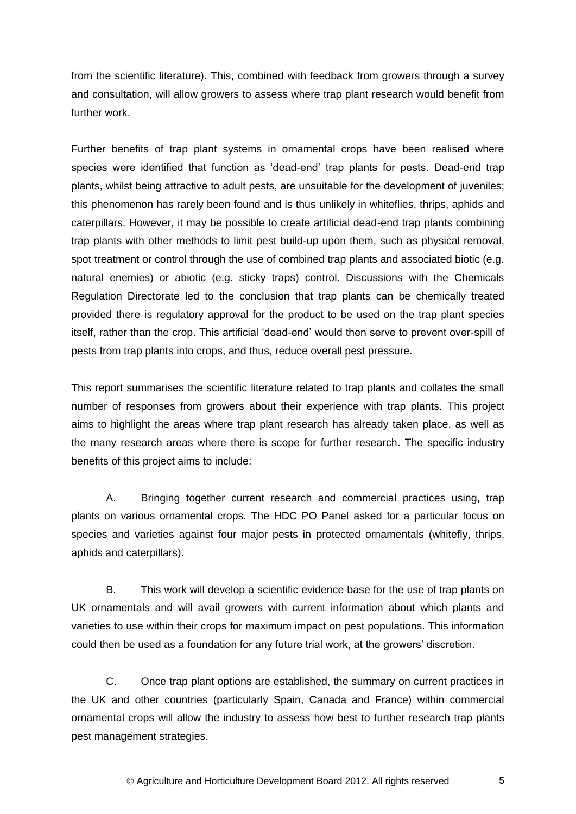from the scientific literature). This, combined with feedback from growers through a survey and consultation, will allow growers to assess where trap plant research would benefit from further work.

Further benefits of trap plant systems in ornamental crops have been realised where species were identified that function as 'dead-end' trap plants for pests. Dead-end trap plants, whilst being attractive to adult pests, are unsuitable for the development of juveniles; this phenomenon has rarely been found and is thus unlikely in whiteflies, thrips, aphids and caterpillars. However, it may be possible to create artificial dead-end trap plants combining trap plants with other methods to limit pest build-up upon them, such as physical removal, spot treatment or control through the use of combined trap plants and associated biotic (e.g. natural enemies) or abiotic (e.g. sticky traps) control. Discussions with the Chemicals Regulation Directorate led to the conclusion that trap plants can be chemically treated provided there is regulatory approval for the product to be used on the trap plant species itself, rather than the crop. This artificial 'dead-end' would then serve to prevent over-spill of pests from trap plants into crops, and thus, reduce overall pest pressure.

This report summarises the scientific literature related to trap plants and collates the small number of responses from growers about their experience with trap plants. This project aims to highlight the areas where trap plant research has already taken place, as well as the many research areas where there is scope for further research. The specific industry benefits of this project aims to include:

A. Bringing together current research and commercial practices using, trap plants on various ornamental crops. The HDC PO Panel asked for a particular focus on species and varieties against four major pests in protected ornamentals (whitefly, thrips, aphids and caterpillars).

B. This work will develop a scientific evidence base for the use of trap plants on UK ornamentals and will avail growers with current information about which plants and varieties to use within their crops for maximum impact on pest populations. This information could then be used as a foundation for any future trial work, at the growers' discretion.

C. Once trap plant options are established, the summary on current practices in the UK and other countries (particularly Spain, Canada and France) within commercial ornamental crops will allow the industry to assess how best to further research trap plants pest management strategies.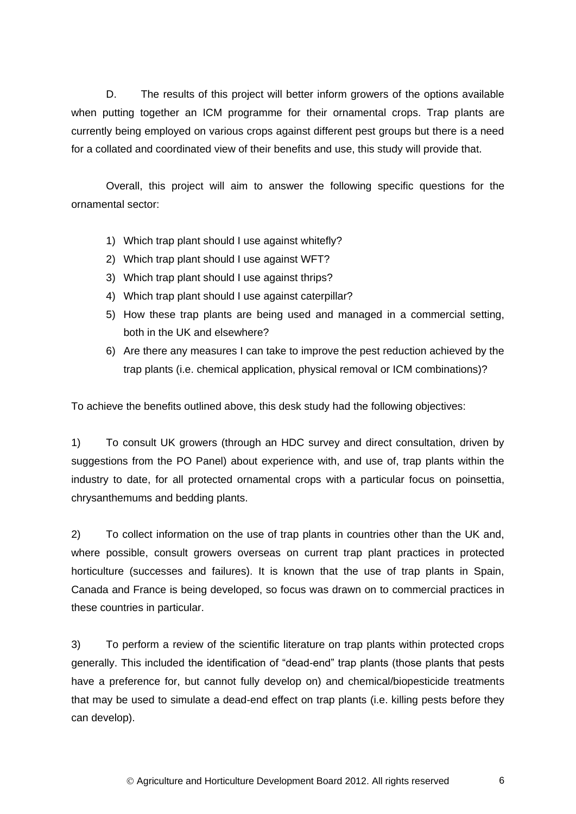D. The results of this project will better inform growers of the options available when putting together an ICM programme for their ornamental crops. Trap plants are currently being employed on various crops against different pest groups but there is a need for a collated and coordinated view of their benefits and use, this study will provide that.

Overall, this project will aim to answer the following specific questions for the ornamental sector:

- 1) Which trap plant should I use against whitefly?
- 2) Which trap plant should I use against WFT?
- 3) Which trap plant should I use against thrips?
- 4) Which trap plant should I use against caterpillar?
- 5) How these trap plants are being used and managed in a commercial setting, both in the UK and elsewhere?
- 6) Are there any measures I can take to improve the pest reduction achieved by the trap plants (i.e. chemical application, physical removal or ICM combinations)?

To achieve the benefits outlined above, this desk study had the following objectives:

1) To consult UK growers (through an HDC survey and direct consultation, driven by suggestions from the PO Panel) about experience with, and use of, trap plants within the industry to date, for all protected ornamental crops with a particular focus on poinsettia, chrysanthemums and bedding plants.

2) To collect information on the use of trap plants in countries other than the UK and, where possible, consult growers overseas on current trap plant practices in protected horticulture (successes and failures). It is known that the use of trap plants in Spain, Canada and France is being developed, so focus was drawn on to commercial practices in these countries in particular.

3) To perform a review of the scientific literature on trap plants within protected crops generally. This included the identification of "dead-end" trap plants (those plants that pests have a preference for, but cannot fully develop on) and chemical/biopesticide treatments that may be used to simulate a dead-end effect on trap plants (i.e. killing pests before they can develop).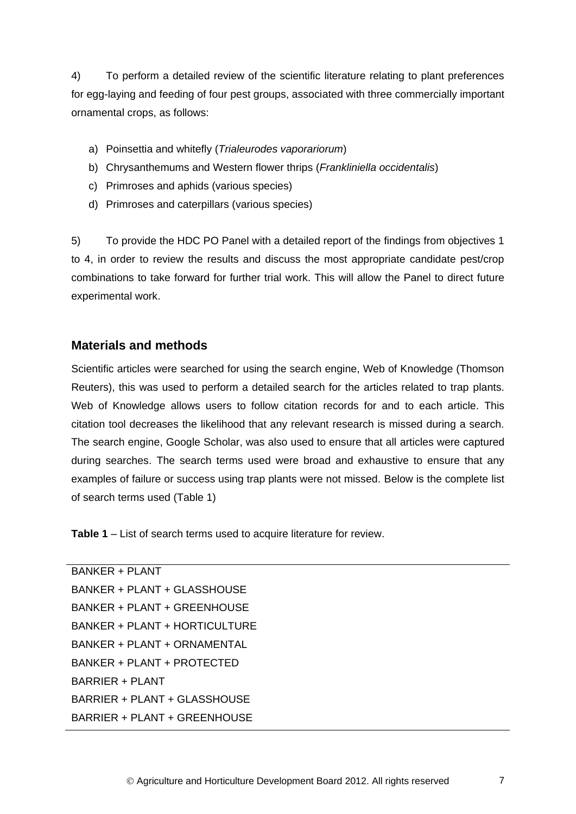4) To perform a detailed review of the scientific literature relating to plant preferences for egg-laying and feeding of four pest groups, associated with three commercially important ornamental crops, as follows:

- a) Poinsettia and whitefly (*Trialeurodes vaporariorum*)
- b) Chrysanthemums and Western flower thrips (*Frankliniella occidentalis*)
- c) Primroses and aphids (various species)
- d) Primroses and caterpillars (various species)

5) To provide the HDC PO Panel with a detailed report of the findings from objectives 1 to 4, in order to review the results and discuss the most appropriate candidate pest/crop combinations to take forward for further trial work. This will allow the Panel to direct future experimental work.

# <span id="page-10-0"></span>**Materials and methods**

Scientific articles were searched for using the search engine, Web of Knowledge (Thomson Reuters), this was used to perform a detailed search for the articles related to trap plants. Web of Knowledge allows users to follow citation records for and to each article. This citation tool decreases the likelihood that any relevant research is missed during a search. The search engine, Google Scholar, was also used to ensure that all articles were captured during searches. The search terms used were broad and exhaustive to ensure that any examples of failure or success using trap plants were not missed. Below is the complete list of search terms used (Table 1)

**Table 1** – List of search terms used to acquire literature for review.

BANKER + PLANT  $BANKFR + PI ANT + GI ASSHOLISE$ BANKER + PLANT + GREENHOUSE BANKER + PLANT + HORTICULTURE BANKER + PLANT + ORNAMENTAL BANKER + PLANT + PROTECTED BARRIER + PLANT BARRIER + PLANT + GLASSHOUSE BARRIER + PLANT + GREENHOUSE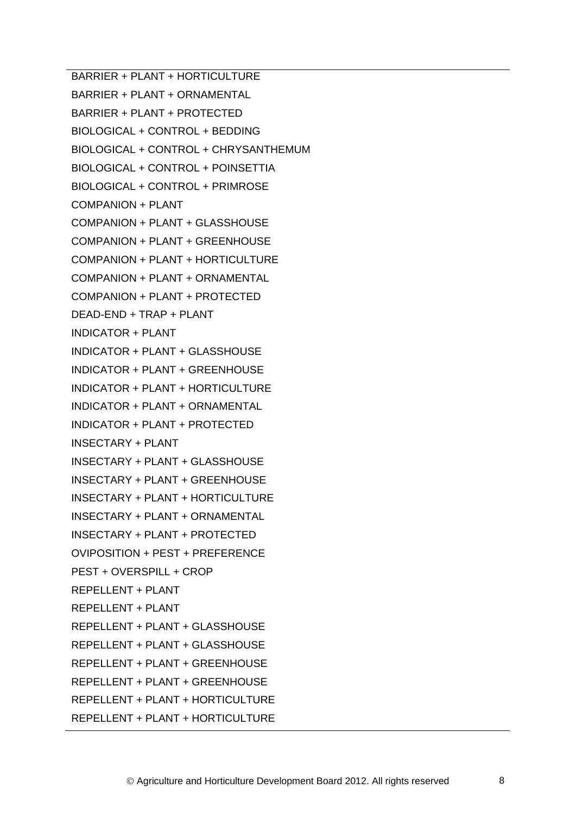BARRIER + PLANT + HORTICULTURE BARRIER + PLANT + ORNAMENTAL BARRIER + PLANT + PROTECTED BIOLOGICAL + CONTROL + BEDDING BIOLOGICAL + CONTROL + CHRYSANTHEMUM BIOLOGICAL + CONTROL + POINSETTIA BIOLOGICAL + CONTROL + PRIMROSE COMPANION + PLANT COMPANION + PLANT + GLASSHOUSE COMPANION + PLANT + GREENHOUSE COMPANION + PLANT + HORTICULTURE COMPANION + PLANT + ORNAMENTAL COMPANION + PLANT + PROTECTED DEAD-END + TRAP + PLANT INDICATOR + PLANT INDICATOR + PLANT + GLASSHOUSE INDICATOR + PLANT + GREENHOUSE INDICATOR + PLANT + HORTICULTURE INDICATOR + PLANT + ORNAMENTAL INDICATOR + PLANT + PROTECTED INSECTARY + PLANT INSECTARY + PLANT + GLASSHOUSE INSECTARY + PLANT + GREENHOUSE INSECTARY + PLANT + HORTICULTURE INSECTARY + PLANT + ORNAMENTAL INSECTARY + PLANT + PROTECTED OVIPOSITION + PEST + PREFERENCE PEST + OVERSPILL + CROP REPELLENT + PLANT REPELLENT + PLANT REPELLENT + PLANT + GLASSHOUSE REPELLENT + PLANT + GLASSHOUSE REPELLENT + PLANT + GREENHOUSE REPELLENT + PLANT + GREENHOUSE REPELLENT + PLANT + HORTICULTURE REPELLENT + PLANT + HORTICULTURE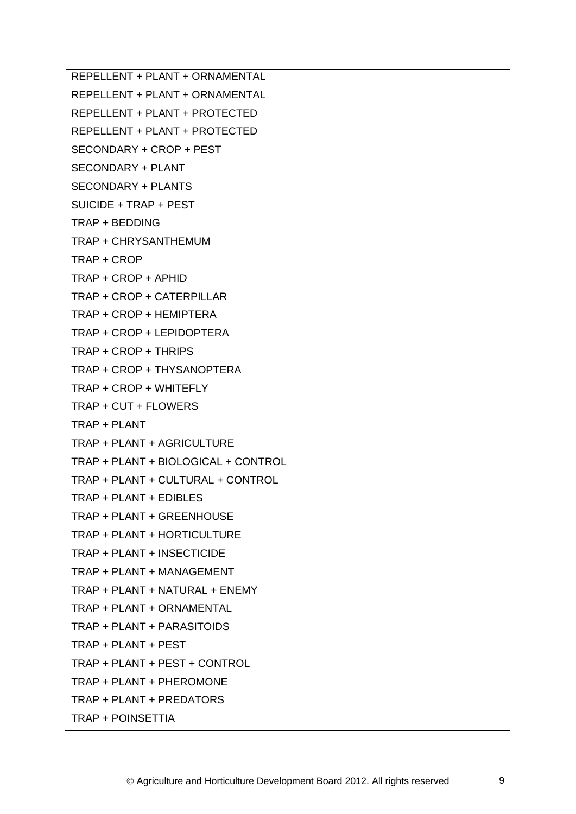REPELLENT + PLANT + ORNAMENTAL

REPELLENT + PLANT + ORNAMENTAL

REPELLENT + PLANT + PROTECTED

REPELLENT + PLANT + PROTECTED

- SECONDARY + CROP + PEST
- SECONDARY + PLANT
- SECONDARY + PLANTS
- SUICIDE + TRAP + PEST
- TRAP + BEDDING
- TRAP + CHRYSANTHEMUM
- TRAP + CROP
- TRAP + CROP + APHID
- TRAP + CROP + CATERPILLAR
- TRAP + CROP + HEMIPTERA
- TRAP + CROP + LEPIDOPTERA
- TRAP + CROP + THRIPS
- TRAP + CROP + THYSANOPTERA
- TRAP + CROP + WHITEFLY
- TRAP + CUT + FLOWERS
- TRAP + PLANT
- TRAP + PLANT + AGRICULTURE
- TRAP + PLANT + BIOLOGICAL + CONTROL
- TRAP + PLANT + CULTURAL + CONTROL
- TRAP + PLANT + EDIBLES
- TRAP + PLANT + GREENHOUSE
- TRAP + PLANT + HORTICULTURE
- TRAP + PLANT + INSECTICIDE
- TRAP + PLANT + MANAGEMENT
- TRAP + PLANT + NATURAL + ENEMY
- TRAP + PLANT + ORNAMENTAL
- TRAP + PLANT + PARASITOIDS
- TRAP + PLANT + PEST
- TRAP + PLANT + PEST + CONTROL
- TRAP + PLANT + PHEROMONE
- TRAP + PLANT + PREDATORS
- TRAP + POINSETTIA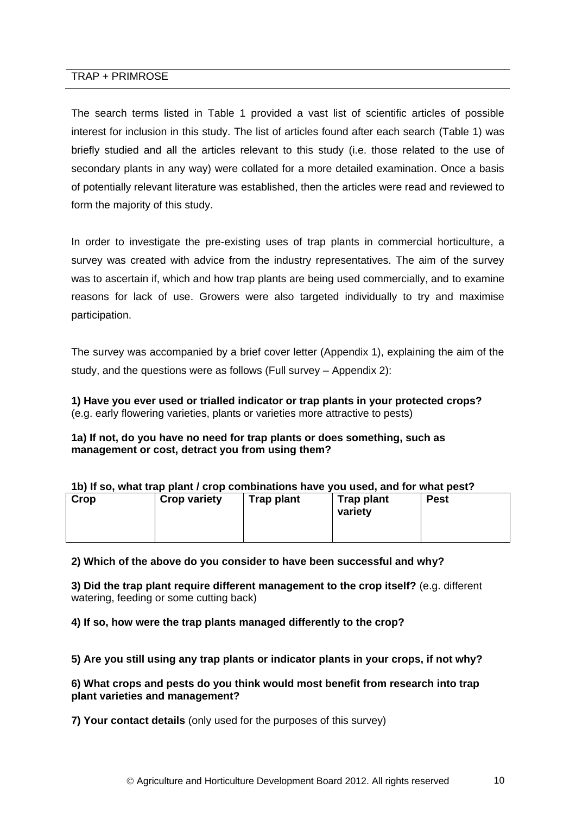#### TRAP + PRIMROSE

The search terms listed in Table 1 provided a vast list of scientific articles of possible interest for inclusion in this study. The list of articles found after each search (Table 1) was briefly studied and all the articles relevant to this study (i.e. those related to the use of secondary plants in any way) were collated for a more detailed examination. Once a basis of potentially relevant literature was established, then the articles were read and reviewed to form the majority of this study.

In order to investigate the pre-existing uses of trap plants in commercial horticulture, a survey was created with advice from the industry representatives. The aim of the survey was to ascertain if, which and how trap plants are being used commercially, and to examine reasons for lack of use. Growers were also targeted individually to try and maximise participation.

The survey was accompanied by a brief cover letter (Appendix 1), explaining the aim of the study, and the questions were as follows (Full survey – Appendix 2):

<span id="page-13-0"></span>**1) Have you ever used or trialled indicator or trap plants in your protected crops?**  (e.g. early flowering varieties, plants or varieties more attractive to pests)

#### **1a) If not, do you have no need for trap plants or does something, such as management or cost, detract you from using them?**

| Crop<br><b>Crop variety</b><br>Trap plant<br>Trap plant<br><b>Pest</b><br>variety | TDJ II SV. WHAT HAD DIAHT / GIUD GOMBHANDHS HAVG YOU USGU, ANU TOI WHAT DGST: |  |  |  |
|-----------------------------------------------------------------------------------|-------------------------------------------------------------------------------|--|--|--|
|                                                                                   |                                                                               |  |  |  |

#### **1b) If so, what trap plant / crop combinations have you used, and for what pest?**

#### **2) Which of the above do you consider to have been successful and why?**

**3) Did the trap plant require different management to the crop itself?** (e.g. different watering, feeding or some cutting back)

**4) If so, how were the trap plants managed differently to the crop?** 

**5) Are you still using any trap plants or indicator plants in your crops, if not why?**

#### **6) What crops and pests do you think would most benefit from research into trap plant varieties and management?**

**7) Your contact details** (only used for the purposes of this survey)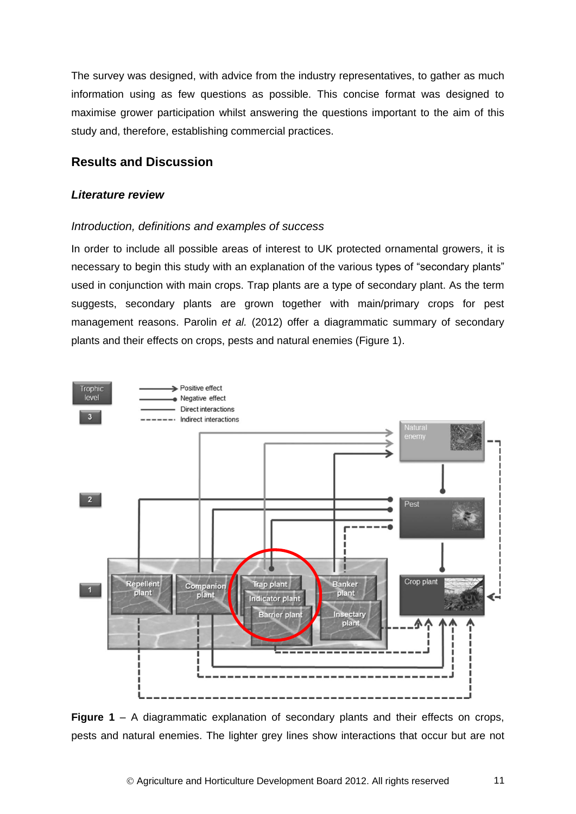The survey was designed, with advice from the industry representatives, to gather as much information using as few questions as possible. This concise format was designed to maximise grower participation whilst answering the questions important to the aim of this study and, therefore, establishing commercial practices.

# <span id="page-14-0"></span>**Results and Discussion**

#### *Literature review*

#### *Introduction, definitions and examples of success*

In order to include all possible areas of interest to UK protected ornamental growers, it is necessary to begin this study with an explanation of the various types of "secondary plants" used in conjunction with main crops. Trap plants are a type of secondary plant. As the term suggests, secondary plants are grown together with main/primary crops for pest management reasons. Parolin *et al.* (2012) offer a diagrammatic summary of secondary plants and their effects on crops, pests and natural enemies (Figure 1).



**Figure 1** – A diagrammatic explanation of secondary plants and their effects on crops, pests and natural enemies. The lighter grey lines show interactions that occur but are not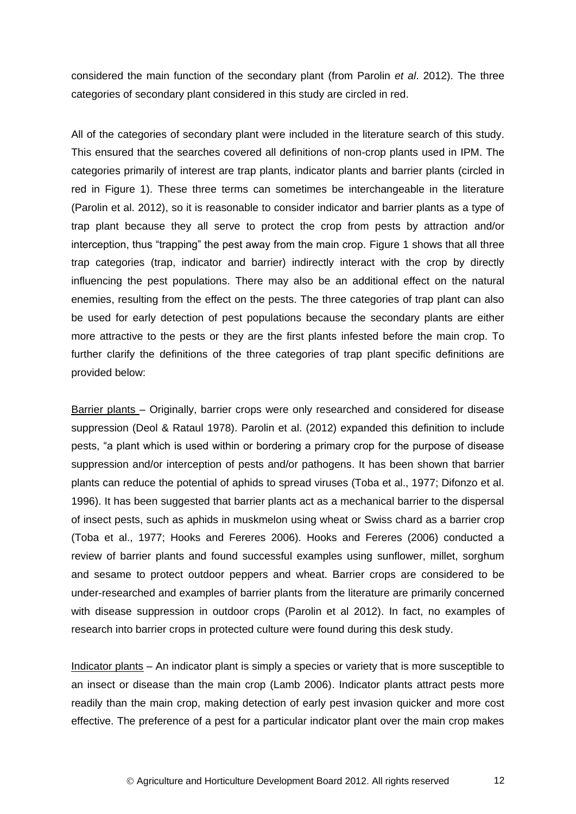considered the main function of the secondary plant (from Parolin *et al*. 2012). The three categories of secondary plant considered in this study are circled in red.

<span id="page-15-0"></span>All of the categories of secondary plant were included in the literature search of this study. This ensured that the searches covered all definitions of non-crop plants used in IPM. The categories primarily of interest are trap plants, indicator plants and barrier plants (circled in red in Figure 1). These three terms can sometimes be interchangeable in the literature (Parolin et al. 2012), so it is reasonable to consider indicator and barrier plants as a type of trap plant because they all serve to protect the crop from pests by attraction and/or interception, thus "trapping" the pest away from the main crop. Figure 1 shows that all three trap categories (trap, indicator and barrier) indirectly interact with the crop by directly influencing the pest populations. There may also be an additional effect on the natural enemies, resulting from the effect on the pests. The three categories of trap plant can also be used for early detection of pest populations because the secondary plants are either more attractive to the pests or they are the first plants infested before the main crop. To further clarify the definitions of the three categories of trap plant specific definitions are provided below:

Barrier plants – Originally, barrier crops were only researched and considered for disease suppression (Deol & Rataul 1978). Parolin et al. (2012) expanded this definition to include pests, "a plant which is used within or bordering a primary crop for the purpose of disease suppression and/or interception of pests and/or pathogens. It has been shown that barrier plants can reduce the potential of aphids to spread viruses (Toba et al., 1977; Difonzo et al. 1996). It has been suggested that barrier plants act as a mechanical barrier to the dispersal of insect pests, such as aphids in muskmelon using wheat or Swiss chard as a barrier crop (Toba et al., 1977; Hooks and Fereres 2006). Hooks and Fereres (2006) conducted a review of barrier plants and found successful examples using sunflower, millet, sorghum and sesame to protect outdoor peppers and wheat. Barrier crops are considered to be under-researched and examples of barrier plants from the literature are primarily concerned with disease suppression in outdoor crops (Parolin et al 2012). In fact, no examples of research into barrier crops in protected culture were found during this desk study.

Indicator plants – An indicator plant is simply a species or variety that is more susceptible to an insect or disease than the main crop (Lamb 2006). Indicator plants attract pests more readily than the main crop, making detection of early pest invasion quicker and more cost effective. The preference of a pest for a particular indicator plant over the main crop makes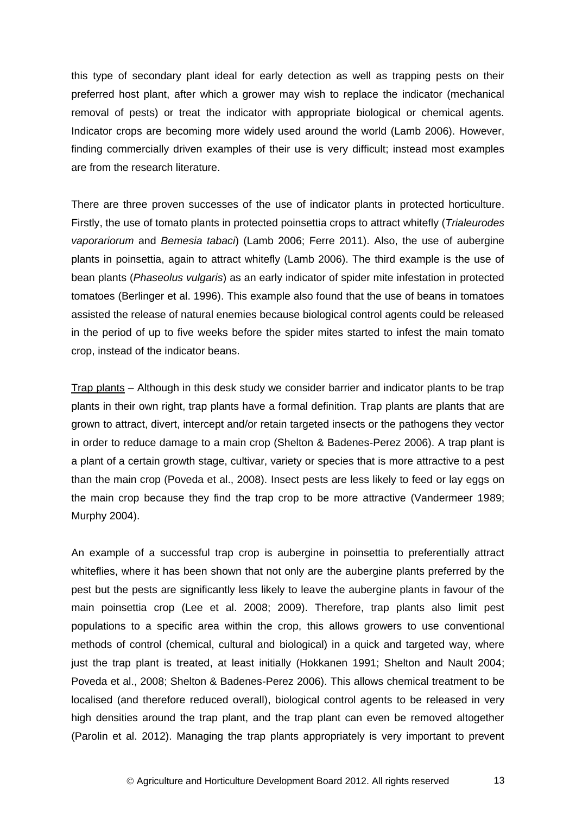this type of secondary plant ideal for early detection as well as trapping pests on their preferred host plant, after which a grower may wish to replace the indicator (mechanical removal of pests) or treat the indicator with appropriate biological or chemical agents. Indicator crops are becoming more widely used around the world (Lamb 2006). However, finding commercially driven examples of their use is very difficult; instead most examples are from the research literature.

There are three proven successes of the use of indicator plants in protected horticulture. Firstly, the use of tomato plants in protected poinsettia crops to attract whitefly (*Trialeurodes vaporariorum* and *Bemesia tabaci*) (Lamb 2006; Ferre 2011). Also, the use of aubergine plants in poinsettia, again to attract whitefly (Lamb 2006). The third example is the use of bean plants (*Phaseolus vulgaris*) as an early indicator of spider mite infestation in protected tomatoes (Berlinger et al. 1996). This example also found that the use of beans in tomatoes assisted the release of natural enemies because biological control agents could be released in the period of up to five weeks before the spider mites started to infest the main tomato crop, instead of the indicator beans.

Trap plants – Although in this desk study we consider barrier and indicator plants to be trap plants in their own right, trap plants have a formal definition. Trap plants are plants that are grown to attract, divert, intercept and/or retain targeted insects or the pathogens they vector in order to reduce damage to a main crop (Shelton & Badenes-Perez 2006). A trap plant is a plant of a certain growth stage, cultivar, variety or species that is more attractive to a pest than the main crop (Poveda et al., 2008). Insect pests are less likely to feed or lay eggs on the main crop because they find the trap crop to be more attractive (Vandermeer 1989; Murphy 2004).

An example of a successful trap crop is aubergine in poinsettia to preferentially attract whiteflies, where it has been shown that not only are the aubergine plants preferred by the pest but the pests are significantly less likely to leave the aubergine plants in favour of the main poinsettia crop (Lee et al. 2008; 2009). Therefore, trap plants also limit pest populations to a specific area within the crop, this allows growers to use conventional methods of control (chemical, cultural and biological) in a quick and targeted way, where just the trap plant is treated, at least initially (Hokkanen 1991; Shelton and Nault 2004; Poveda et al., 2008; Shelton & Badenes-Perez 2006). This allows chemical treatment to be localised (and therefore reduced overall), biological control agents to be released in very high densities around the trap plant, and the trap plant can even be removed altogether (Parolin et al. 2012). Managing the trap plants appropriately is very important to prevent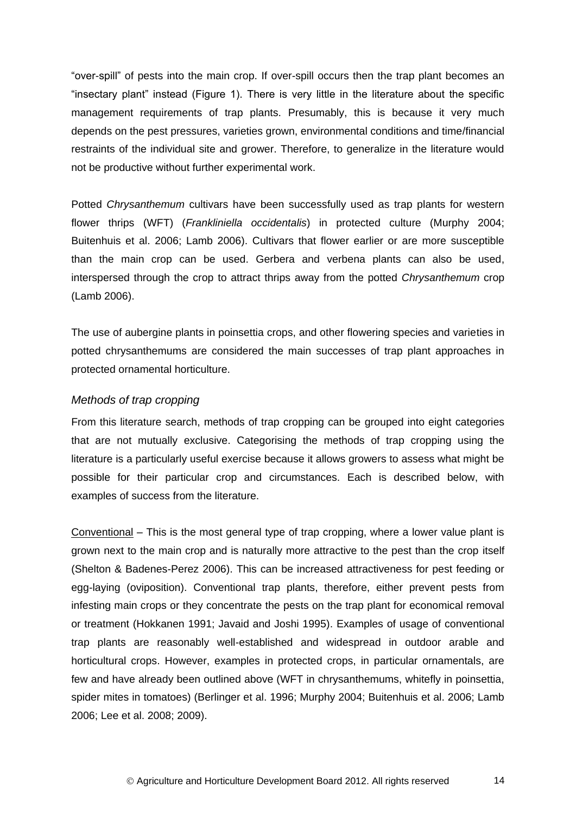"over-spill" of pests into the main crop. If over-spill occurs then the trap plant becomes an "insectary plant" instead (Figure 1). There is very little in the literature about the specific management requirements of trap plants. Presumably, this is because it very much depends on the pest pressures, varieties grown, environmental conditions and time/financial restraints of the individual site and grower. Therefore, to generalize in the literature would not be productive without further experimental work.

Potted *Chrysanthemum* cultivars have been successfully used as trap plants for western flower thrips (WFT) (*Frankliniella occidentalis*) in protected culture (Murphy 2004; Buitenhuis et al. 2006; Lamb 2006). Cultivars that flower earlier or are more susceptible than the main crop can be used. Gerbera and verbena plants can also be used, interspersed through the crop to attract thrips away from the potted *Chrysanthemum* crop (Lamb 2006).

The use of aubergine plants in poinsettia crops, and other flowering species and varieties in potted chrysanthemums are considered the main successes of trap plant approaches in protected ornamental horticulture.

#### *Methods of trap cropping*

From this literature search, methods of trap cropping can be grouped into eight categories that are not mutually exclusive. Categorising the methods of trap cropping using the literature is a particularly useful exercise because it allows growers to assess what might be possible for their particular crop and circumstances. Each is described below, with examples of success from the literature.

Conventional – This is the most general type of trap cropping, where a lower value plant is grown next to the main crop and is naturally more attractive to the pest than the crop itself (Shelton & Badenes-Perez 2006). This can be increased attractiveness for pest feeding or egg-laying (oviposition). Conventional trap plants, therefore, either prevent pests from infesting main crops or they concentrate the pests on the trap plant for economical removal or treatment (Hokkanen 1991; Javaid and Joshi 1995). Examples of usage of conventional trap plants are reasonably well-established and widespread in outdoor arable and horticultural crops. However, examples in protected crops, in particular ornamentals, are few and have already been outlined above (WFT in chrysanthemums, whitefly in poinsettia, spider mites in tomatoes) (Berlinger et al. 1996; Murphy 2004; Buitenhuis et al. 2006; Lamb 2006; Lee et al. 2008; 2009).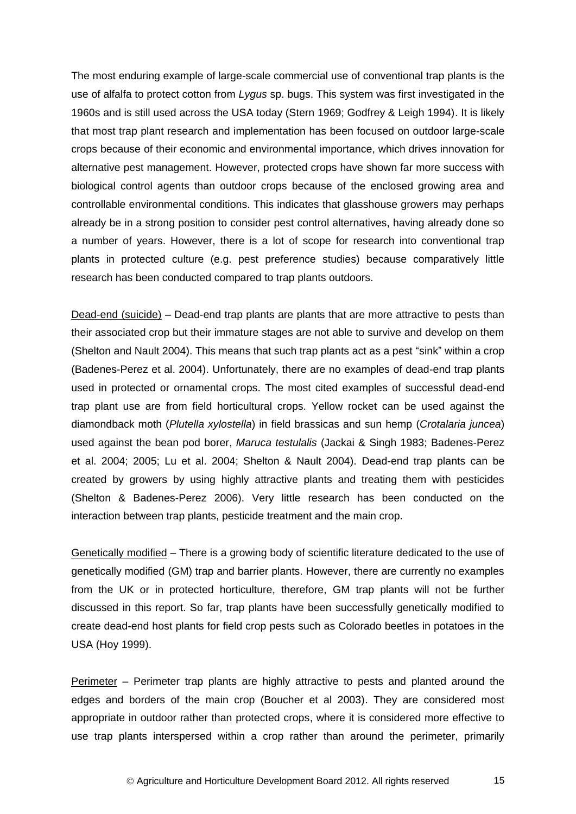The most enduring example of large-scale commercial use of conventional trap plants is the use of alfalfa to protect cotton from *Lygus* sp. bugs. This system was first investigated in the 1960s and is still used across the USA today (Stern 1969; Godfrey & Leigh 1994). It is likely that most trap plant research and implementation has been focused on outdoor large-scale crops because of their economic and environmental importance, which drives innovation for alternative pest management. However, protected crops have shown far more success with biological control agents than outdoor crops because of the enclosed growing area and controllable environmental conditions. This indicates that glasshouse growers may perhaps already be in a strong position to consider pest control alternatives, having already done so a number of years. However, there is a lot of scope for research into conventional trap plants in protected culture (e.g. pest preference studies) because comparatively little research has been conducted compared to trap plants outdoors.

Dead-end (suicide) – Dead-end trap plants are plants that are more attractive to pests than their associated crop but their immature stages are not able to survive and develop on them (Shelton and Nault 2004). This means that such trap plants act as a pest "sink" within a crop (Badenes-Perez et al. 2004). Unfortunately, there are no examples of dead-end trap plants used in protected or ornamental crops. The most cited examples of successful dead-end trap plant use are from field horticultural crops. Yellow rocket can be used against the diamondback moth (*Plutella xylostella*) in field brassicas and sun hemp (*Crotalaria juncea*) used against the bean pod borer, *Maruca testulalis* (Jackai & Singh 1983; Badenes-Perez et al. 2004; 2005; Lu et al. 2004; Shelton & Nault 2004). Dead-end trap plants can be created by growers by using highly attractive plants and treating them with pesticides (Shelton & Badenes-Perez 2006). Very little research has been conducted on the interaction between trap plants, pesticide treatment and the main crop.

Genetically modified – There is a growing body of scientific literature dedicated to the use of genetically modified (GM) trap and barrier plants. However, there are currently no examples from the UK or in protected horticulture, therefore, GM trap plants will not be further discussed in this report. So far, trap plants have been successfully genetically modified to create dead-end host plants for field crop pests such as Colorado beetles in potatoes in the USA (Hoy 1999).

Perimeter – Perimeter trap plants are highly attractive to pests and planted around the edges and borders of the main crop (Boucher et al 2003). They are considered most appropriate in outdoor rather than protected crops, where it is considered more effective to use trap plants interspersed within a crop rather than around the perimeter, primarily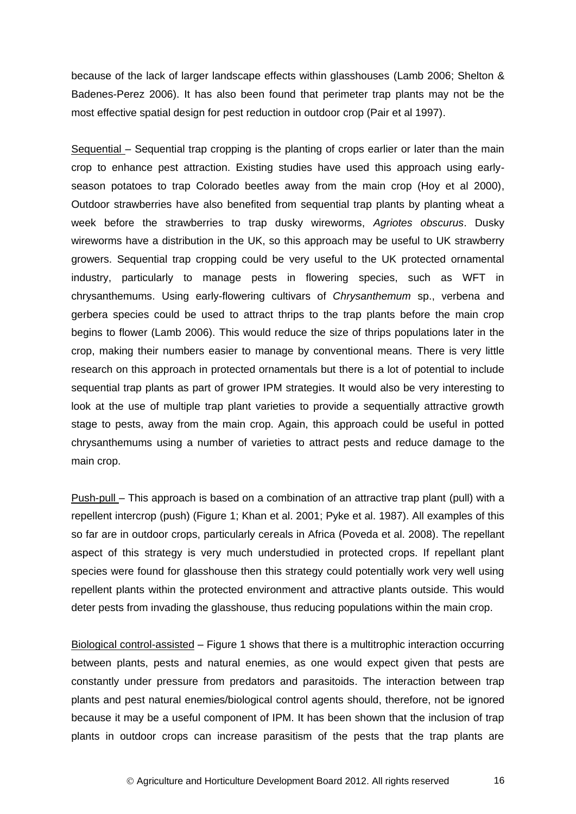because of the lack of larger landscape effects within glasshouses (Lamb 2006; Shelton & Badenes-Perez 2006). It has also been found that perimeter trap plants may not be the most effective spatial design for pest reduction in outdoor crop (Pair et al 1997).

Sequential – Sequential trap cropping is the planting of crops earlier or later than the main crop to enhance pest attraction. Existing studies have used this approach using earlyseason potatoes to trap Colorado beetles away from the main crop (Hoy et al 2000), Outdoor strawberries have also benefited from sequential trap plants by planting wheat a week before the strawberries to trap dusky wireworms, *Agriotes obscurus*. Dusky wireworms have a distribution in the UK, so this approach may be useful to UK strawberry growers. Sequential trap cropping could be very useful to the UK protected ornamental industry, particularly to manage pests in flowering species, such as WFT in chrysanthemums. Using early-flowering cultivars of *Chrysanthemum* sp., verbena and gerbera species could be used to attract thrips to the trap plants before the main crop begins to flower (Lamb 2006). This would reduce the size of thrips populations later in the crop, making their numbers easier to manage by conventional means. There is very little research on this approach in protected ornamentals but there is a lot of potential to include sequential trap plants as part of grower IPM strategies. It would also be very interesting to look at the use of multiple trap plant varieties to provide a sequentially attractive growth stage to pests, away from the main crop. Again, this approach could be useful in potted chrysanthemums using a number of varieties to attract pests and reduce damage to the main crop.

Push-pull – This approach is based on a combination of an attractive trap plant (pull) with a repellent intercrop (push) (Figure 1; Khan et al. 2001; Pyke et al. 1987). All examples of this so far are in outdoor crops, particularly cereals in Africa (Poveda et al. 2008). The repellant aspect of this strategy is very much understudied in protected crops. If repellant plant species were found for glasshouse then this strategy could potentially work very well using repellent plants within the protected environment and attractive plants outside. This would deter pests from invading the glasshouse, thus reducing populations within the main crop.

Biological control-assisted – Figure 1 shows that there is a multitrophic interaction occurring between plants, pests and natural enemies, as one would expect given that pests are constantly under pressure from predators and parasitoids. The interaction between trap plants and pest natural enemies/biological control agents should, therefore, not be ignored because it may be a useful component of IPM. It has been shown that the inclusion of trap plants in outdoor crops can increase parasitism of the pests that the trap plants are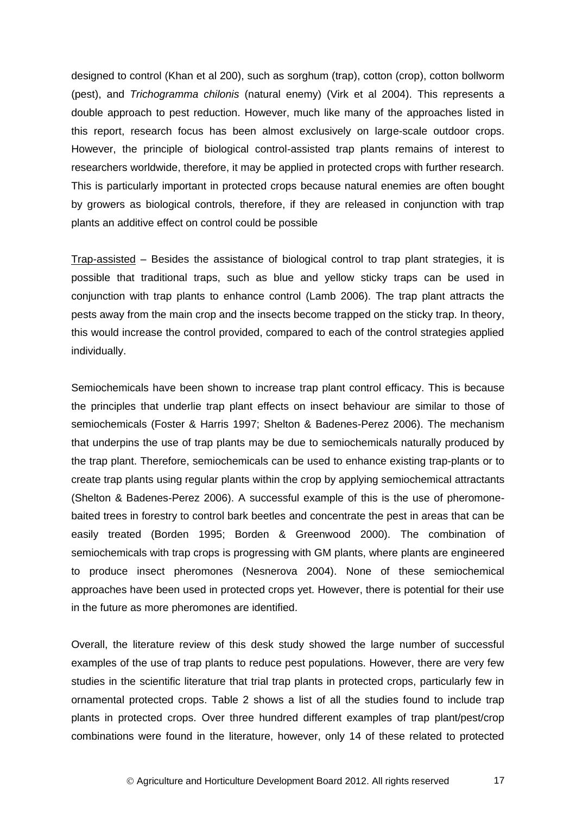designed to control (Khan et al 200), such as sorghum (trap), cotton (crop), cotton bollworm (pest), and *Trichogramma chilonis* (natural enemy) (Virk et al 2004). This represents a double approach to pest reduction. However, much like many of the approaches listed in this report, research focus has been almost exclusively on large-scale outdoor crops. However, the principle of biological control-assisted trap plants remains of interest to researchers worldwide, therefore, it may be applied in protected crops with further research. This is particularly important in protected crops because natural enemies are often bought by growers as biological controls, therefore, if they are released in conjunction with trap plants an additive effect on control could be possible

Trap-assisted – Besides the assistance of biological control to trap plant strategies, it is possible that traditional traps, such as blue and yellow sticky traps can be used in conjunction with trap plants to enhance control (Lamb 2006). The trap plant attracts the pests away from the main crop and the insects become trapped on the sticky trap. In theory, this would increase the control provided, compared to each of the control strategies applied individually.

Semiochemicals have been shown to increase trap plant control efficacy. This is because the principles that underlie trap plant effects on insect behaviour are similar to those of semiochemicals (Foster & Harris 1997; Shelton & Badenes-Perez 2006). The mechanism that underpins the use of trap plants may be due to semiochemicals naturally produced by the trap plant. Therefore, semiochemicals can be used to enhance existing trap-plants or to create trap plants using regular plants within the crop by applying semiochemical attractants (Shelton & Badenes-Perez 2006). A successful example of this is the use of pheromonebaited trees in forestry to control bark beetles and concentrate the pest in areas that can be easily treated (Borden 1995; Borden & Greenwood 2000). The combination of semiochemicals with trap crops is progressing with GM plants, where plants are engineered to produce insect pheromones (Nesnerova 2004). None of these semiochemical approaches have been used in protected crops yet. However, there is potential for their use in the future as more pheromones are identified.

Overall, the literature review of this desk study showed the large number of successful examples of the use of trap plants to reduce pest populations. However, there are very few studies in the scientific literature that trial trap plants in protected crops, particularly few in ornamental protected crops. Table 2 shows a list of all the studies found to include trap plants in protected crops. Over three hundred different examples of trap plant/pest/crop combinations were found in the literature, however, only 14 of these related to protected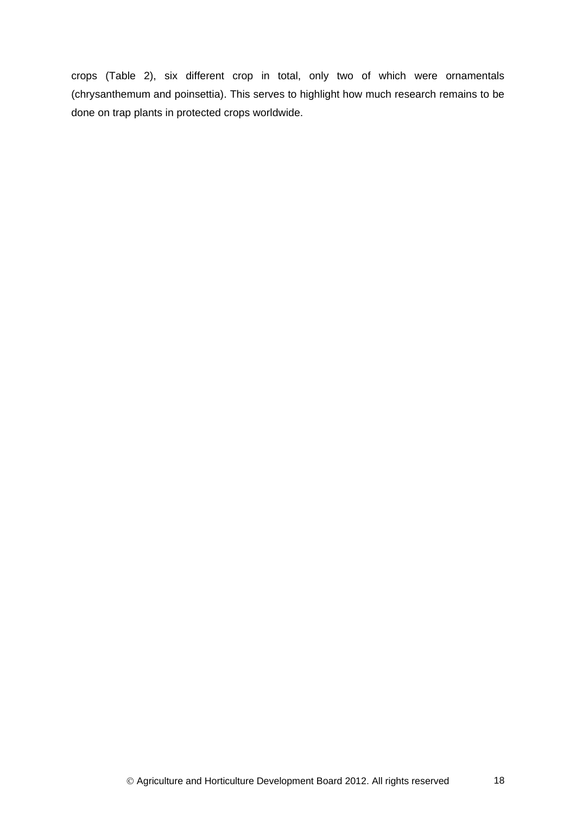crops (Table 2), six different crop in total, only two of which were ornamentals (chrysanthemum and poinsettia). This serves to highlight how much research remains to be done on trap plants in protected crops worldwide.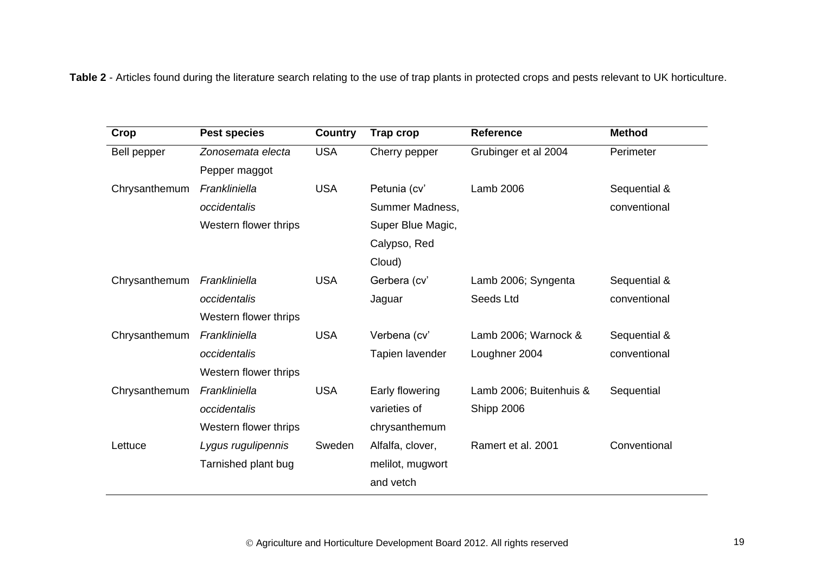**Table 2** - Articles found during the literature search relating to the use of trap plants in protected crops and pests relevant to UK horticulture.

| Crop          | <b>Pest species</b>   | <b>Country</b> | <b>Trap crop</b>  | <b>Reference</b>        | <b>Method</b> |
|---------------|-----------------------|----------------|-------------------|-------------------------|---------------|
| Bell pepper   | Zonosemata electa     | <b>USA</b>     | Cherry pepper     | Grubinger et al 2004    | Perimeter     |
|               | Pepper maggot         |                |                   |                         |               |
| Chrysanthemum | Frankliniella         | <b>USA</b>     | Petunia (cv'      | Lamb 2006               | Sequential &  |
|               | occidentalis          |                | Summer Madness,   |                         | conventional  |
|               | Western flower thrips |                | Super Blue Magic, |                         |               |
|               |                       |                | Calypso, Red      |                         |               |
|               |                       |                | Cloud)            |                         |               |
| Chrysanthemum | Frankliniella         | <b>USA</b>     | Gerbera (cv'      | Lamb 2006; Syngenta     | Sequential &  |
|               | occidentalis          |                | Jaguar            | Seeds Ltd               | conventional  |
|               | Western flower thrips |                |                   |                         |               |
| Chrysanthemum | Frankliniella         | <b>USA</b>     | Verbena (cv'      | Lamb 2006; Warnock &    | Sequential &  |
|               | occidentalis          |                | Tapien lavender   | Loughner 2004           | conventional  |
|               | Western flower thrips |                |                   |                         |               |
| Chrysanthemum | Frankliniella         | <b>USA</b>     | Early flowering   | Lamb 2006; Buitenhuis & | Sequential    |
|               | occidentalis          |                | varieties of      | Shipp 2006              |               |
|               | Western flower thrips |                | chrysanthemum     |                         |               |
| Lettuce       | Lygus rugulipennis    | Sweden         | Alfalfa, clover,  | Ramert et al. 2001      | Conventional  |
|               | Tarnished plant bug   |                | melilot, mugwort  |                         |               |
|               |                       |                | and vetch         |                         |               |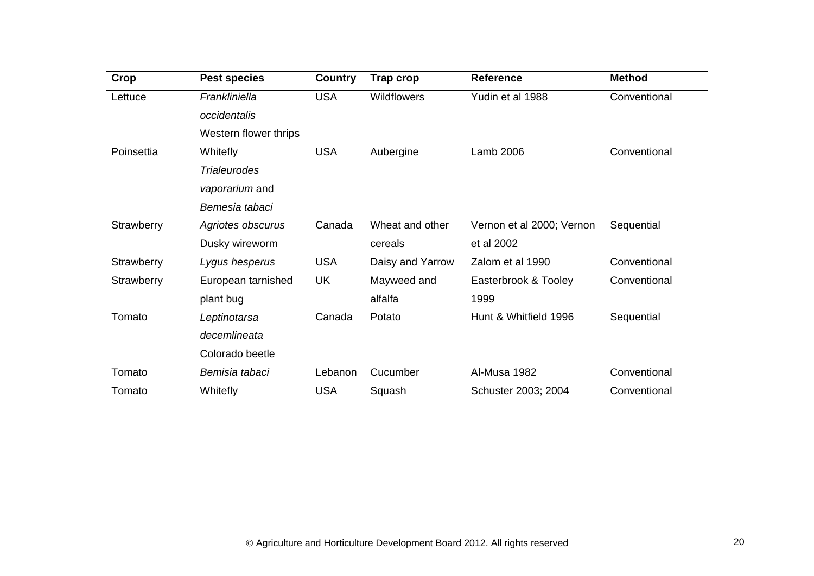| Crop       | <b>Pest species</b>   | <b>Country</b> | <b>Trap crop</b>   | <b>Reference</b>          | <b>Method</b> |
|------------|-----------------------|----------------|--------------------|---------------------------|---------------|
| Lettuce    | Frankliniella         | <b>USA</b>     | <b>Wildflowers</b> | Yudin et al 1988          | Conventional  |
|            | occidentalis          |                |                    |                           |               |
|            | Western flower thrips |                |                    |                           |               |
| Poinsettia | Whitefly              | <b>USA</b>     | Aubergine          | Lamb 2006                 | Conventional  |
|            | <b>Trialeurodes</b>   |                |                    |                           |               |
|            | vaporarium and        |                |                    |                           |               |
|            | Bemesia tabaci        |                |                    |                           |               |
| Strawberry | Agriotes obscurus     | Canada         | Wheat and other    | Vernon et al 2000; Vernon | Sequential    |
|            | Dusky wireworm        |                | cereals            | et al 2002                |               |
| Strawberry | Lygus hesperus        | <b>USA</b>     | Daisy and Yarrow   | Zalom et al 1990          | Conventional  |
| Strawberry | European tarnished    | UK             | Mayweed and        | Easterbrook & Tooley      | Conventional  |
|            | plant bug             |                | alfalfa            | 1999                      |               |
| Tomato     | Leptinotarsa          | Canada         | Potato             | Hunt & Whitfield 1996     | Sequential    |
|            | decemlineata          |                |                    |                           |               |
|            | Colorado beetle       |                |                    |                           |               |
| Tomato     | Bemisia tabaci        | Lebanon        | Cucumber           | Al-Musa 1982              | Conventional  |
| Tomato     | <b>Whitefly</b>       | <b>USA</b>     | Squash             | Schuster 2003; 2004       | Conventional  |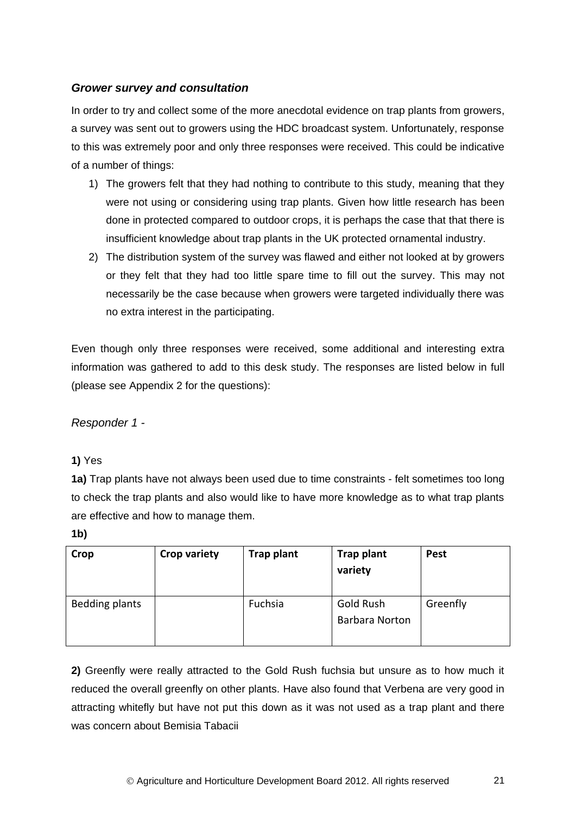# *Grower survey and consultation*

In order to try and collect some of the more anecdotal evidence on trap plants from growers, a survey was sent out to growers using the HDC broadcast system. Unfortunately, response to this was extremely poor and only three responses were received. This could be indicative of a number of things:

- 1) The growers felt that they had nothing to contribute to this study, meaning that they were not using or considering using trap plants. Given how little research has been done in protected compared to outdoor crops, it is perhaps the case that that there is insufficient knowledge about trap plants in the UK protected ornamental industry.
- 2) The distribution system of the survey was flawed and either not looked at by growers or they felt that they had too little spare time to fill out the survey. This may not necessarily be the case because when growers were targeted individually there was no extra interest in the participating.

Even though only three responses were received, some additional and interesting extra information was gathered to add to this desk study. The responses are listed below in full (please see Appendix 2 for the questions):

*Responder 1 -*

### **1)** Yes

**1a)** Trap plants have not always been used due to time constraints - felt sometimes too long to check the trap plants and also would like to have more knowledge as to what trap plants are effective and how to manage them.

**1b)** 

| Crop           | <b>Crop variety</b> | Trap plant | <b>Trap plant</b><br>variety       | <b>Pest</b> |
|----------------|---------------------|------------|------------------------------------|-------------|
| Bedding plants |                     | Fuchsia    | Gold Rush<br><b>Barbara Norton</b> | Greenfly    |

**2)** Greenfly were really attracted to the Gold Rush fuchsia but unsure as to how much it reduced the overall greenfly on other plants. Have also found that Verbena are very good in attracting whitefly but have not put this down as it was not used as a trap plant and there was concern about Bemisia Tabacii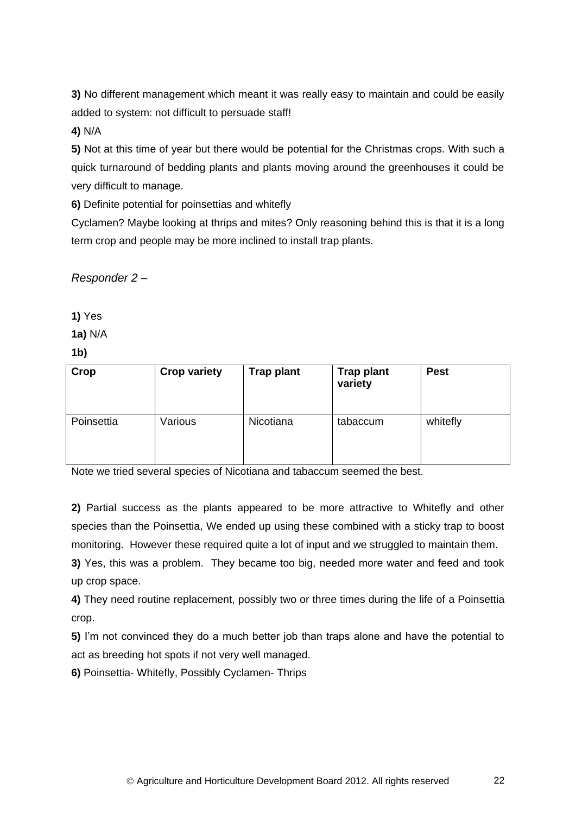**3)** No different management which meant it was really easy to maintain and could be easily added to system: not difficult to persuade staff!

# **4)** N/A

**5)** Not at this time of year but there would be potential for the Christmas crops. With such a quick turnaround of bedding plants and plants moving around the greenhouses it could be very difficult to manage.

**6)** Definite potential for poinsettias and whitefly

Cyclamen? Maybe looking at thrips and mites? Only reasoning behind this is that it is a long term crop and people may be more inclined to install trap plants.

*Responder 2 –*

**1)** Yes

**1a)** N/A

**1b)**

| Crop       | <b>Crop variety</b> | <b>Trap plant</b> | <b>Trap plant</b><br>variety | <b>Pest</b> |
|------------|---------------------|-------------------|------------------------------|-------------|
| Poinsettia | Various             | Nicotiana         | tabaccum                     | whitefly    |

Note we tried several species of Nicotiana and tabaccum seemed the best.

**2)** Partial success as the plants appeared to be more attractive to Whitefly and other species than the Poinsettia, We ended up using these combined with a sticky trap to boost monitoring. However these required quite a lot of input and we struggled to maintain them.

**3)** Yes, this was a problem. They became too big, needed more water and feed and took up crop space.

**4)** They need routine replacement, possibly two or three times during the life of a Poinsettia crop.

**5)** I'm not convinced they do a much better job than traps alone and have the potential to act as breeding hot spots if not very well managed.

**6)** Poinsettia- Whitefly, Possibly Cyclamen- Thrips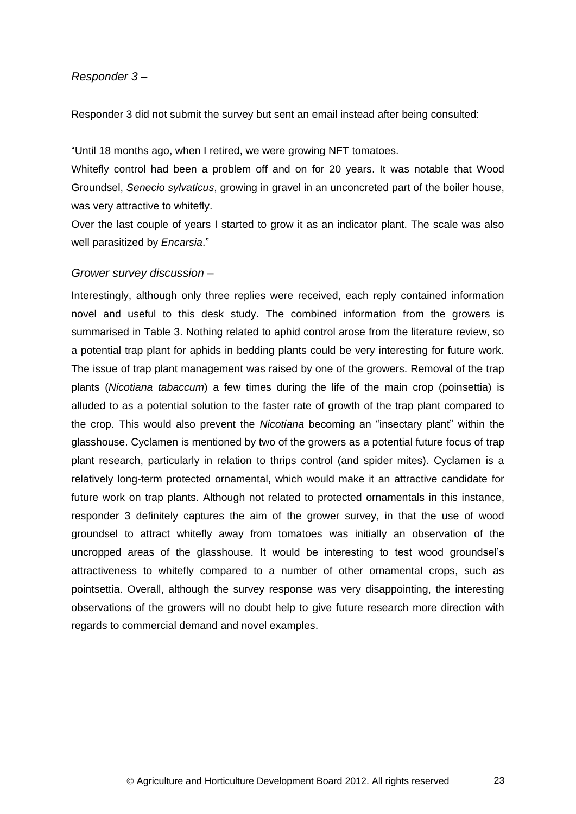#### *Responder 3 –*

Responder 3 did not submit the survey but sent an email instead after being consulted:

"Until 18 months ago, when I retired, we were growing NFT tomatoes.

Whitefly control had been a problem off and on for 20 years. It was notable that Wood Groundsel, *Senecio sylvaticus*, growing in gravel in an unconcreted part of the boiler house, was very attractive to whitefly.

Over the last couple of years I started to grow it as an indicator plant. The scale was also well parasitized by *Encarsia*."

#### *Grower survey discussion –*

Interestingly, although only three replies were received, each reply contained information novel and useful to this desk study. The combined information from the growers is summarised in Table 3. Nothing related to aphid control arose from the literature review, so a potential trap plant for aphids in bedding plants could be very interesting for future work. The issue of trap plant management was raised by one of the growers. Removal of the trap plants (*Nicotiana tabaccum*) a few times during the life of the main crop (poinsettia) is alluded to as a potential solution to the faster rate of growth of the trap plant compared to the crop. This would also prevent the *Nicotiana* becoming an "insectary plant" within the glasshouse. Cyclamen is mentioned by two of the growers as a potential future focus of trap plant research, particularly in relation to thrips control (and spider mites). Cyclamen is a relatively long-term protected ornamental, which would make it an attractive candidate for future work on trap plants. Although not related to protected ornamentals in this instance, responder 3 definitely captures the aim of the grower survey, in that the use of wood groundsel to attract whitefly away from tomatoes was initially an observation of the uncropped areas of the glasshouse. It would be interesting to test wood groundsel's attractiveness to whitefly compared to a number of other ornamental crops, such as pointsettia. Overall, although the survey response was very disappointing, the interesting observations of the growers will no doubt help to give future research more direction with regards to commercial demand and novel examples.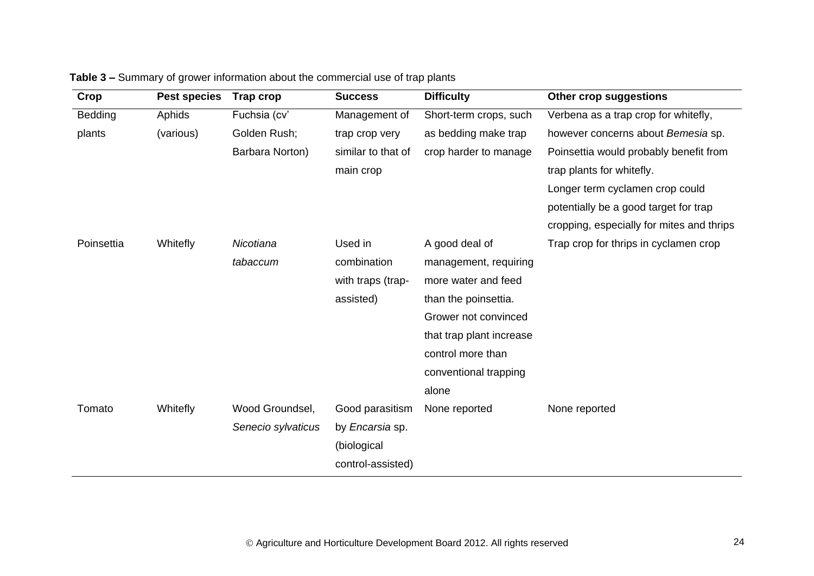| Crop           | <b>Pest species</b> | Trap crop          | <b>Success</b>         | <b>Difficulty</b>        | Other crop suggestions                    |
|----------------|---------------------|--------------------|------------------------|--------------------------|-------------------------------------------|
| <b>Bedding</b> | Aphids              | Fuchsia (cv'       | Management of          | Short-term crops, such   | Verbena as a trap crop for whitefly,      |
| plants         | (various)           | Golden Rush;       | trap crop very         | as bedding make trap     | however concerns about Bemesia sp.        |
|                |                     | Barbara Norton)    | similar to that of     | crop harder to manage    | Poinsettia would probably benefit from    |
|                |                     |                    | main crop              |                          | trap plants for whitefly.                 |
|                |                     |                    |                        |                          | Longer term cyclamen crop could           |
|                |                     |                    |                        |                          | potentially be a good target for trap     |
|                |                     |                    |                        |                          | cropping, especially for mites and thrips |
| Poinsettia     | Whitefly            | Nicotiana          | Used in                | A good deal of           | Trap crop for thrips in cyclamen crop     |
|                |                     | tabaccum           | combination            | management, requiring    |                                           |
|                |                     |                    | with traps (trap-      | more water and feed      |                                           |
|                |                     |                    | assisted)              | than the poinsettia.     |                                           |
|                |                     |                    |                        | Grower not convinced     |                                           |
|                |                     |                    |                        | that trap plant increase |                                           |
|                |                     |                    |                        | control more than        |                                           |
|                |                     |                    |                        | conventional trapping    |                                           |
|                |                     |                    |                        | alone                    |                                           |
| Tomato         | Whitefly            | Wood Groundsel,    | Good parasitism        | None reported            | None reported                             |
|                |                     | Senecio sylvaticus | by <i>Encarsia</i> sp. |                          |                                           |
|                |                     |                    | (biological            |                          |                                           |
|                |                     |                    | control-assisted)      |                          |                                           |

# **Table 3 –** Summary of grower information about the commercial use of trap plants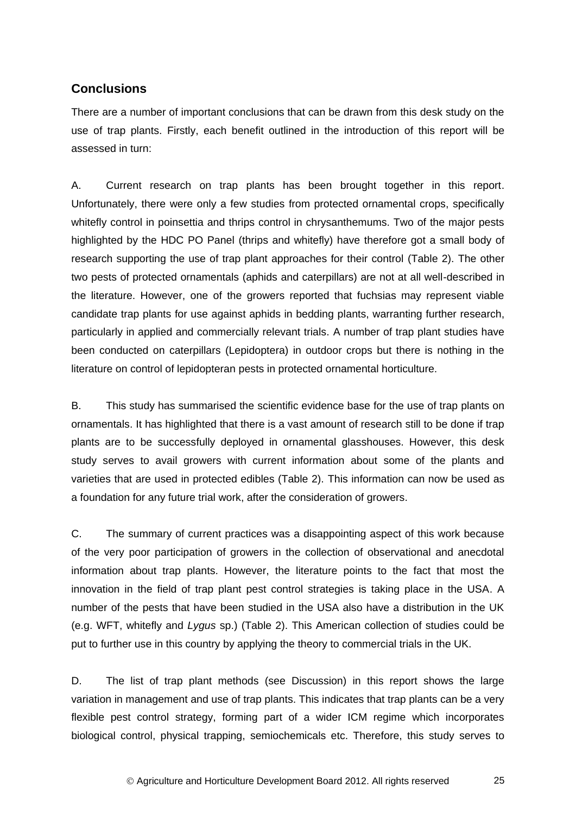# **Conclusions**

There are a number of important conclusions that can be drawn from this desk study on the use of trap plants. Firstly, each benefit outlined in the introduction of this report will be assessed in turn:

A. Current research on trap plants has been brought together in this report. Unfortunately, there were only a few studies from protected ornamental crops, specifically whitefly control in poinsettia and thrips control in chrysanthemums. Two of the major pests highlighted by the HDC PO Panel (thrips and whitefly) have therefore got a small body of research supporting the use of trap plant approaches for their control (Table 2). The other two pests of protected ornamentals (aphids and caterpillars) are not at all well-described in the literature. However, one of the growers reported that fuchsias may represent viable candidate trap plants for use against aphids in bedding plants, warranting further research, particularly in applied and commercially relevant trials. A number of trap plant studies have been conducted on caterpillars (Lepidoptera) in outdoor crops but there is nothing in the literature on control of lepidopteran pests in protected ornamental horticulture.

B. This study has summarised the scientific evidence base for the use of trap plants on ornamentals. It has highlighted that there is a vast amount of research still to be done if trap plants are to be successfully deployed in ornamental glasshouses. However, this desk study serves to avail growers with current information about some of the plants and varieties that are used in protected edibles (Table 2). This information can now be used as a foundation for any future trial work, after the consideration of growers.

C. The summary of current practices was a disappointing aspect of this work because of the very poor participation of growers in the collection of observational and anecdotal information about trap plants. However, the literature points to the fact that most the innovation in the field of trap plant pest control strategies is taking place in the USA. A number of the pests that have been studied in the USA also have a distribution in the UK (e.g. WFT, whitefly and *Lygus* sp.) (Table 2). This American collection of studies could be put to further use in this country by applying the theory to commercial trials in the UK.

D. The list of trap plant methods (see Discussion) in this report shows the large variation in management and use of trap plants. This indicates that trap plants can be a very flexible pest control strategy, forming part of a wider ICM regime which incorporates biological control, physical trapping, semiochemicals etc. Therefore, this study serves to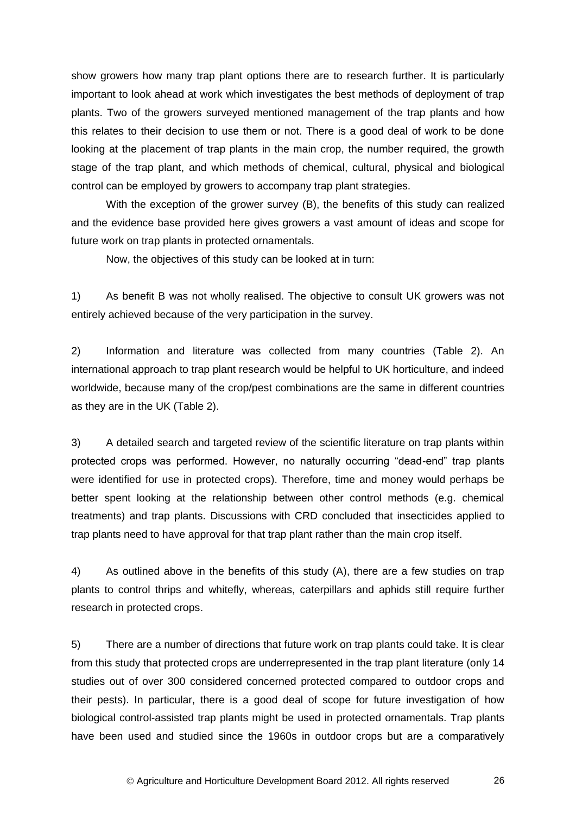show growers how many trap plant options there are to research further. It is particularly important to look ahead at work which investigates the best methods of deployment of trap plants. Two of the growers surveyed mentioned management of the trap plants and how this relates to their decision to use them or not. There is a good deal of work to be done looking at the placement of trap plants in the main crop, the number required, the growth stage of the trap plant, and which methods of chemical, cultural, physical and biological control can be employed by growers to accompany trap plant strategies.

With the exception of the grower survey (B), the benefits of this study can realized and the evidence base provided here gives growers a vast amount of ideas and scope for future work on trap plants in protected ornamentals.

Now, the objectives of this study can be looked at in turn:

1) As benefit B was not wholly realised. The objective to consult UK growers was not entirely achieved because of the very participation in the survey.

2) Information and literature was collected from many countries (Table 2). An international approach to trap plant research would be helpful to UK horticulture, and indeed worldwide, because many of the crop/pest combinations are the same in different countries as they are in the UK (Table 2).

3) A detailed search and targeted review of the scientific literature on trap plants within protected crops was performed. However, no naturally occurring "dead-end" trap plants were identified for use in protected crops). Therefore, time and money would perhaps be better spent looking at the relationship between other control methods (e.g. chemical treatments) and trap plants. Discussions with CRD concluded that insecticides applied to trap plants need to have approval for that trap plant rather than the main crop itself.

4) As outlined above in the benefits of this study (A), there are a few studies on trap plants to control thrips and whitefly, whereas, caterpillars and aphids still require further research in protected crops.

5) There are a number of directions that future work on trap plants could take. It is clear from this study that protected crops are underrepresented in the trap plant literature (only 14 studies out of over 300 considered concerned protected compared to outdoor crops and their pests). In particular, there is a good deal of scope for future investigation of how biological control-assisted trap plants might be used in protected ornamentals. Trap plants have been used and studied since the 1960s in outdoor crops but are a comparatively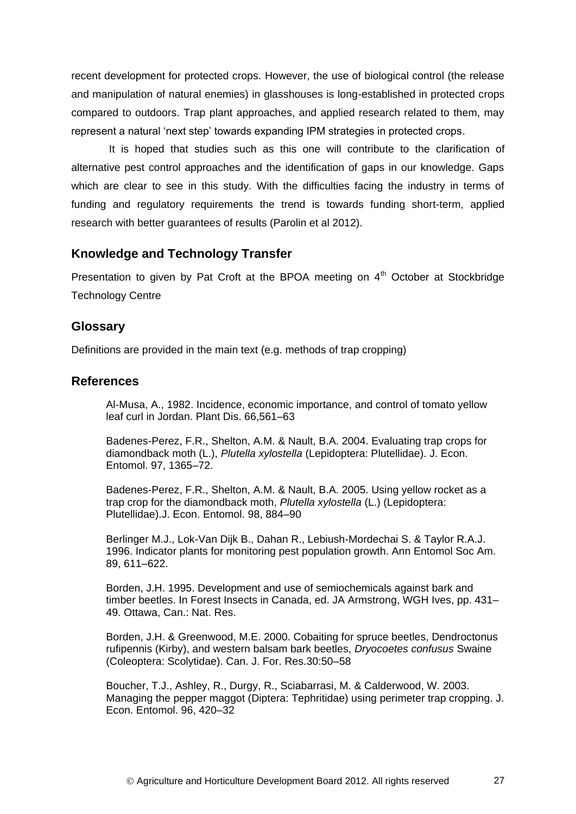recent development for protected crops. However, the use of biological control (the release and manipulation of natural enemies) in glasshouses is long-established in protected crops compared to outdoors. Trap plant approaches, and applied research related to them, may represent a natural 'next step' towards expanding IPM strategies in protected crops.

It is hoped that studies such as this one will contribute to the clarification of alternative pest control approaches and the identification of gaps in our knowledge. Gaps which are clear to see in this study. With the difficulties facing the industry in terms of funding and regulatory requirements the trend is towards funding short-term, applied research with better guarantees of results (Parolin et al 2012).

### <span id="page-30-0"></span>**Knowledge and Technology Transfer**

<span id="page-30-1"></span>Presentation to given by Pat Croft at the BPOA meeting on  $4<sup>th</sup>$  October at Stockbridge Technology Centre

# **Glossary**

Definitions are provided in the main text (e.g. methods of trap cropping)

### <span id="page-30-3"></span>**References**

<span id="page-30-2"></span>Al-Musa, A., 1982. Incidence, economic importance, and control of tomato yellow leaf curl in Jordan. Plant Dis. 66,561–63

Badenes-Perez, F.R., Shelton, A.M. & Nault, B.A. 2004. Evaluating trap crops for diamondback moth (L.), *Plutella xylostella* (Lepidoptera: Plutellidae). J. Econ. Entomol. 97, 1365–72.

Badenes-Perez, F.R., Shelton, A.M. & Nault, B.A. 2005. Using yellow rocket as a trap crop for the diamondback moth, *Plutella xylostella* (L.) (Lepidoptera: Plutellidae).J. Econ. Entomol. 98, 884–90

Berlinger M.J., Lok-Van Dijk B., Dahan R., Lebiush-Mordechai S. & Taylor R.A.J. 1996. Indicator plants for monitoring pest population growth. Ann Entomol Soc Am. 89, 611–622.

Borden, J.H. 1995. Development and use of semiochemicals against bark and timber beetles. In Forest Insects in Canada, ed. JA Armstrong, WGH Ives, pp. 431– 49. Ottawa, Can.: Nat. Res.

Borden, J.H. & Greenwood, M.E. 2000. Cobaiting for spruce beetles, Dendroctonus rufipennis (Kirby), and western balsam bark beetles, *Dryocoetes confusus* Swaine (Coleoptera: Scolytidae). Can. J. For. Res.30:50–58

Boucher, T.J., Ashley, R., Durgy, R., Sciabarrasi, M. & Calderwood, W. 2003. Managing the pepper maggot (Diptera: Tephritidae) using perimeter trap cropping. J. Econ. Entomol. 96, 420–32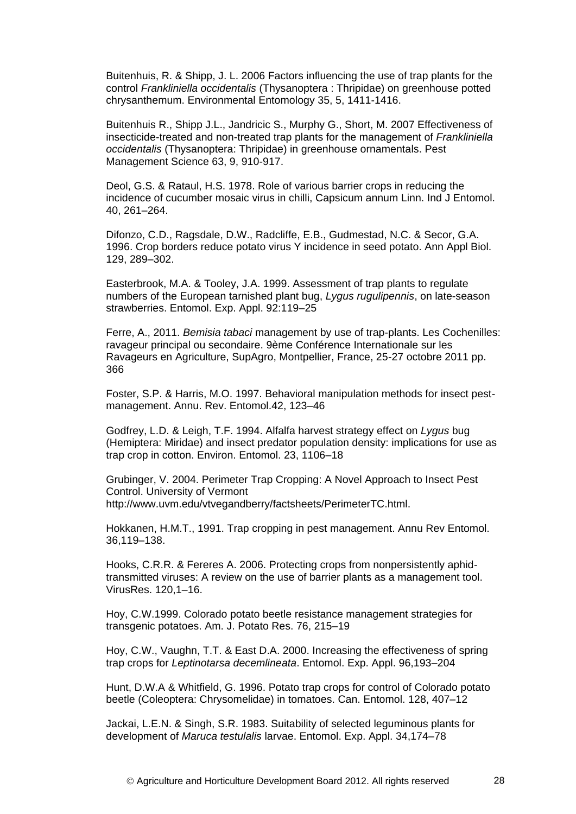Buitenhuis, R. & Shipp, J. L. 2006 Factors influencing the use of trap plants for the control *Frankliniella occidentalis* (Thysanoptera : Thripidae) on greenhouse potted chrysanthemum. Environmental Entomology 35, 5, 1411-1416.

Buitenhuis R., Shipp J.L., Jandricic S., Murphy G., Short, M. 2007 Effectiveness of insecticide-treated and non-treated trap plants for the management of *Frankliniella occidentalis* (Thysanoptera: Thripidae) in greenhouse ornamentals. Pest Management Science 63, 9, 910-917.

Deol, G.S. & Rataul, H.S. 1978. Role of various barrier crops in reducing the incidence of cucumber mosaic virus in chilli, Capsicum annum Linn. Ind J Entomol. 40, 261–264.

Difonzo, C.D., Ragsdale, D.W., Radcliffe, E.B., Gudmestad, N.C. & Secor, G.A. 1996. Crop borders reduce potato virus Y incidence in seed potato. Ann Appl Biol. 129, 289–302.

Easterbrook, M.A. & Tooley, J.A. 1999. Assessment of trap plants to regulate numbers of the European tarnished plant bug, *Lygus rugulipennis*, on late-season strawberries. Entomol. Exp. Appl. 92:119–25

Ferre, A., 2011. *Bemisia tabaci* management by use of trap-plants. Les Cochenilles: ravageur principal ou secondaire. 9ème Conférence Internationale sur les Ravageurs en Agriculture, SupAgro, Montpellier, France, 25-27 octobre 2011 pp. 366

Foster, S.P. & Harris, M.O. 1997. Behavioral manipulation methods for insect pestmanagement. Annu. Rev. Entomol.42, 123–46

Godfrey, L.D. & Leigh, T.F. 1994. Alfalfa harvest strategy effect on *Lygus* bug (Hemiptera: Miridae) and insect predator population density: implications for use as trap crop in cotton. Environ. Entomol. 23, 1106–18

Grubinger, V. 2004. Perimeter Trap Cropping: A Novel Approach to Insect Pest Control. University of Vermont http://www.uvm.edu/vtvegandberry/factsheets/PerimeterTC.html.

Hokkanen, H.M.T., 1991. Trap cropping in pest management. Annu Rev Entomol. 36,119–138.

Hooks, C.R.R. & Fereres A. 2006. Protecting crops from nonpersistently aphidtransmitted viruses: A review on the use of barrier plants as a management tool. VirusRes. 120,1–16.

Hoy, C.W.1999. Colorado potato beetle resistance management strategies for transgenic potatoes. Am. J. Potato Res. 76, 215–19

Hoy, C.W., Vaughn, T.T. & East D.A. 2000. Increasing the effectiveness of spring trap crops for *Leptinotarsa decemlineata*. Entomol. Exp. Appl. 96,193–204

Hunt, D.W.A & Whitfield, G. 1996. Potato trap crops for control of Colorado potato beetle (Coleoptera: Chrysomelidae) in tomatoes. Can. Entomol. 128, 407–12

Jackai, L.E.N. & Singh, S.R. 1983. Suitability of selected leguminous plants for development of *Maruca testulalis* larvae. Entomol. Exp. Appl. 34,174–78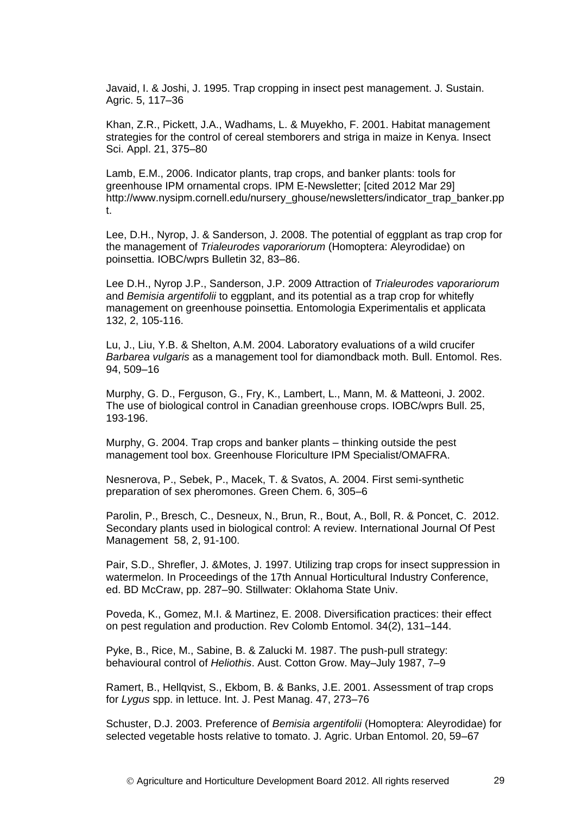Javaid, I. & Joshi, J. 1995. Trap cropping in insect pest management. J. Sustain. Agric. 5, 117–36

Khan, Z.R., Pickett, J.A., Wadhams, L. & Muyekho, F. 2001. Habitat management strategies for the control of cereal stemborers and striga in maize in Kenya. Insect Sci. Appl. 21, 375–80

Lamb, E.M., 2006. Indicator plants, trap crops, and banker plants: tools for greenhouse IPM ornamental crops. IPM E-Newsletter; [cited 2012 Mar 29] http://www.nysipm.cornell.edu/nursery\_ghouse/newsletters/indicator\_trap\_banker.pp t.

Lee, D.H., Nyrop, J. & Sanderson, J. 2008. The potential of eggplant as trap crop for the management of *Trialeurodes vaporariorum* (Homoptera: Aleyrodidae) on poinsettia. IOBC/wprs Bulletin 32, 83–86.

Lee D.H., Nyrop J.P., Sanderson, J.P. 2009 Attraction of *Trialeurodes vaporariorum* and *Bemisia argentifolii* to eggplant, and its potential as a trap crop for whitefly management on greenhouse poinsettia. Entomologia Experimentalis et applicata 132, 2, 105-116.

Lu, J., Liu, Y.B. & Shelton, A.M. 2004. Laboratory evaluations of a wild crucifer *Barbarea vulgaris* as a management tool for diamondback moth. Bull. Entomol. Res. 94, 509–16

Murphy, G. D., Ferguson, G., Fry, K., Lambert, L., Mann, M. & Matteoni, J. 2002. The use of biological control in Canadian greenhouse crops. IOBC/wprs Bull. 25, 193-196.

Murphy, G. 2004. Trap crops and banker plants – thinking outside the pest management tool box. Greenhouse Floriculture IPM Specialist/OMAFRA.

Nesnerova, P., Sebek, P., Macek, T. & Svatos, A. 2004. First semi-synthetic preparation of sex pheromones. Green Chem. 6, 305–6

Parolin, P., Bresch, C., Desneux, N., Brun, R., Bout, A., Boll, R. & Poncet, C. 2012. Secondary plants used in biological control: A review. International Journal Of Pest Management 58, 2, 91-100.

Pair, S.D., Shrefler, J. &Motes, J. 1997. Utilizing trap crops for insect suppression in watermelon. In Proceedings of the 17th Annual Horticultural Industry Conference, ed. BD McCraw, pp. 287–90. Stillwater: Oklahoma State Univ.

Poveda, K., Gomez, M.I. & Martinez, E. 2008. Diversification practices: their effect on pest regulation and production. Rev Colomb Entomol. 34(2), 131–144.

Pyke, B., Rice, M., Sabine, B. & Zalucki M. 1987. The push-pull strategy: behavioural control of *Heliothis*. Aust. Cotton Grow. May–July 1987, 7–9

Ramert, B., Hellqvist, S., Ekbom, B. & Banks, J.E. 2001. Assessment of trap crops for *Lygus* spp. in lettuce. Int. J. Pest Manag. 47, 273–76

Schuster, D.J. 2003. Preference of *Bemisia argentifolii* (Homoptera: Aleyrodidae) for selected vegetable hosts relative to tomato. J. Agric. Urban Entomol. 20, 59–67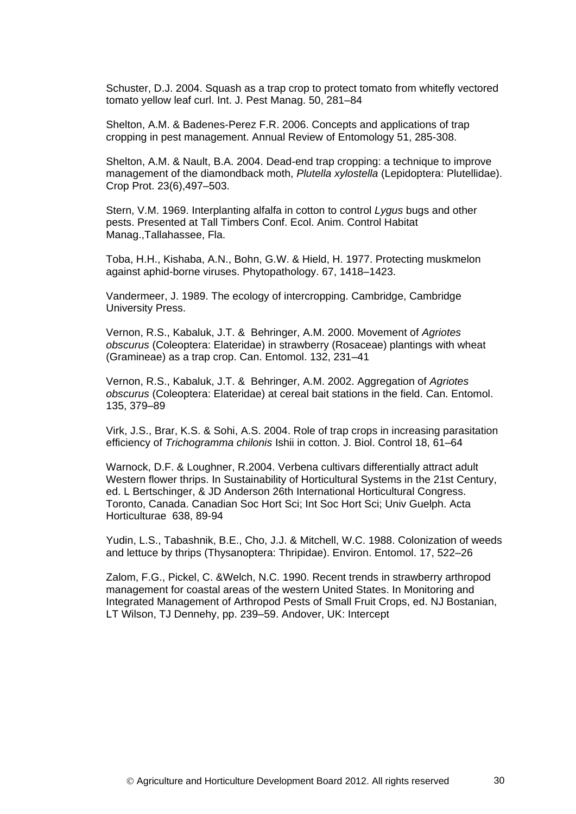Schuster, D.J. 2004. Squash as a trap crop to protect tomato from whitefly vectored tomato yellow leaf curl. Int. J. Pest Manag. 50, 281–84

Shelton, A.M. & Badenes-Perez F.R. 2006. Concepts and applications of trap cropping in pest management. Annual Review of Entomology 51, 285-308.

Shelton, A.M. & Nault, B.A. 2004. Dead-end trap cropping: a technique to improve management of the diamondback moth, *Plutella xylostella* (Lepidoptera: Plutellidae). Crop Prot. 23(6),497–503.

Stern, V.M. 1969. Interplanting alfalfa in cotton to control *Lygus* bugs and other pests. Presented at Tall Timbers Conf. Ecol. Anim. Control Habitat Manag.,Tallahassee, Fla.

Toba, H.H., Kishaba, A.N., Bohn, G.W. & Hield, H. 1977. Protecting muskmelon against aphid-borne viruses. Phytopathology. 67, 1418–1423.

Vandermeer, J. 1989. The ecology of intercropping. Cambridge, Cambridge University Press.

Vernon, R.S., Kabaluk, J.T. & Behringer, A.M. 2000. Movement of *Agriotes obscurus* (Coleoptera: Elateridae) in strawberry (Rosaceae) plantings with wheat (Gramineae) as a trap crop. Can. Entomol. 132, 231–41

Vernon, R.S., Kabaluk, J.T. & Behringer, A.M. 2002. Aggregation of *Agriotes obscurus* (Coleoptera: Elateridae) at cereal bait stations in the field. Can. Entomol. 135, 379–89

Virk, J.S., Brar, K.S. & Sohi, A.S. 2004. Role of trap crops in increasing parasitation efficiency of *Trichogramma chilonis* Ishii in cotton. J. Biol. Control 18, 61–64

Warnock, D.F. & Loughner, R.2004. Verbena cultivars differentially attract adult Western flower thrips. In Sustainability of Horticultural Systems in the 21st Century, ed. L Bertschinger, & JD Anderson 26th International Horticultural Congress. Toronto, Canada. Canadian Soc Hort Sci; Int Soc Hort Sci; Univ Guelph. Acta Horticulturae 638, 89-94

Yudin, L.S., Tabashnik, B.E., Cho, J.J. & Mitchell, W.C. 1988. Colonization of weeds and lettuce by thrips (Thysanoptera: Thripidae). Environ. Entomol. 17, 522–26

Zalom, F.G., Pickel, C. &Welch, N.C. 1990. Recent trends in strawberry arthropod management for coastal areas of the western United States. In Monitoring and Integrated Management of Arthropod Pests of Small Fruit Crops, ed. NJ Bostanian, LT Wilson, TJ Dennehy, pp. 239–59. Andover, UK: Intercept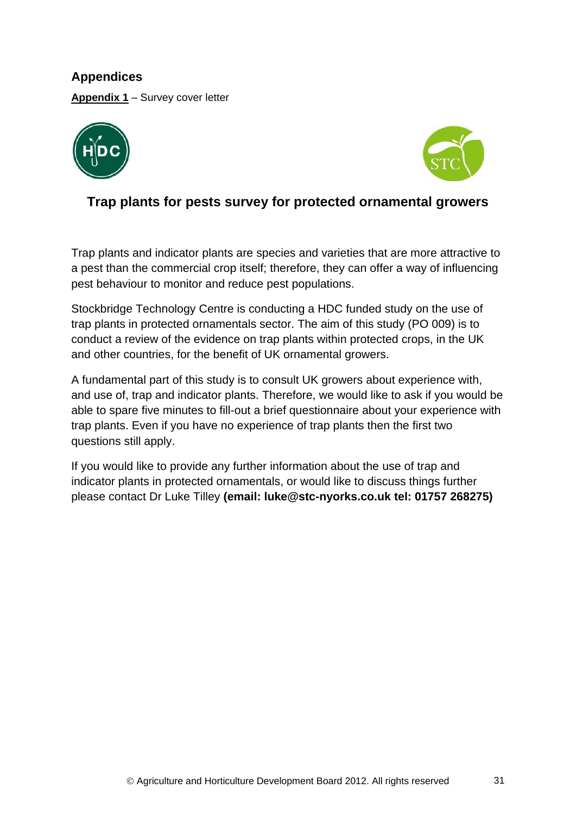**Appendices Appendix 1** – Survey cover letter





# **Trap plants for pests survey for protected ornamental growers**

Trap plants and indicator plants are species and varieties that are more attractive to a pest than the commercial crop itself; therefore, they can offer a way of influencing pest behaviour to monitor and reduce pest populations.

Stockbridge Technology Centre is conducting a HDC funded study on the use of trap plants in protected ornamentals sector. The aim of this study (PO 009) is to conduct a review of the evidence on trap plants within protected crops, in the UK and other countries, for the benefit of UK ornamental growers.

A fundamental part of this study is to consult UK growers about experience with, and use of, trap and indicator plants. Therefore, we would like to ask if you would be able to spare five minutes to fill-out a brief questionnaire about your experience with trap plants. Even if you have no experience of trap plants then the first two questions still apply.

If you would like to provide any further information about the use of trap and indicator plants in protected ornamentals, or would like to discuss things further please contact Dr Luke Tilley **(email: luke@stc-nyorks.co.uk tel: 01757 268275)**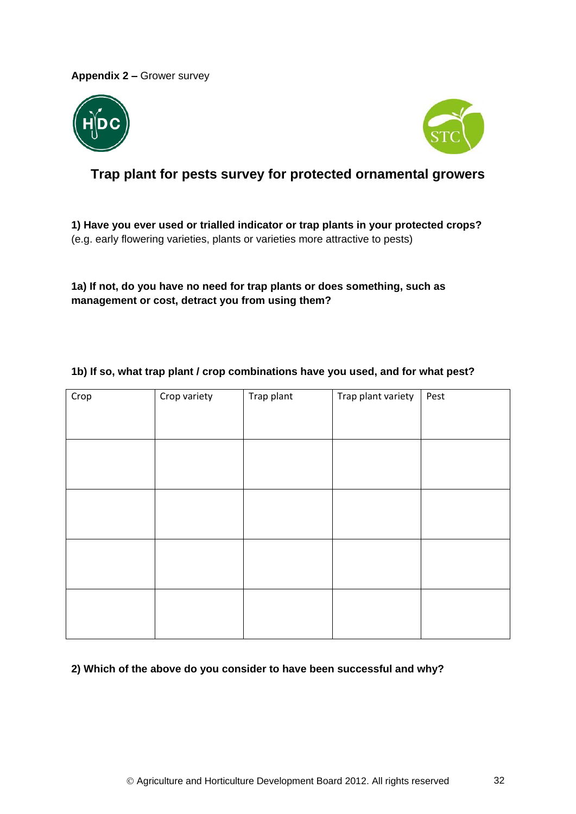**Appendix 2 –** Grower survey





# **Trap plant for pests survey for protected ornamental growers**

**1) Have you ever used or trialled indicator or trap plants in your protected crops?**  (e.g. early flowering varieties, plants or varieties more attractive to pests)

**1a) If not, do you have no need for trap plants or does something, such as management or cost, detract you from using them?**

| Crop | Crop variety | Trap plant | Trap plant variety | Pest |
|------|--------------|------------|--------------------|------|
|      |              |            |                    |      |
|      |              |            |                    |      |
|      |              |            |                    |      |
|      |              |            |                    |      |
|      |              |            |                    |      |
|      |              |            |                    |      |
|      |              |            |                    |      |
|      |              |            |                    |      |
|      |              |            |                    |      |

### **1b) If so, what trap plant / crop combinations have you used, and for what pest?**

#### **2) Which of the above do you consider to have been successful and why?**